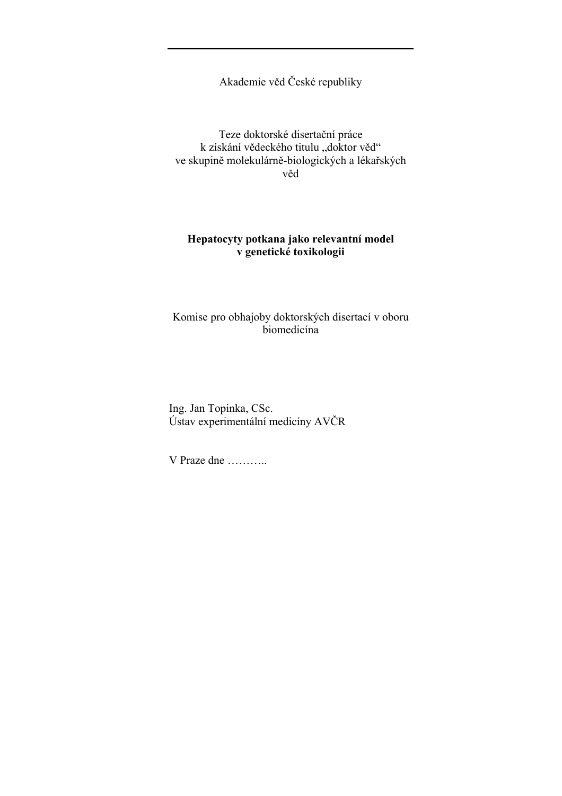Akademie věd České republiky

Teze doktorské disertační práce k získání vědeckého titulu "doktor věd" ve skupině molekulárně-biologických a lékařských věd

# **Hepatocyty potkana jako relevantní model v genetické toxikologii**

Komise pro obhajoby doktorských disertací v oboru biomedicína

Ing. Jan Topinka, CSc. Ústav experimentální medicíny AVČR

V Praze dne ………..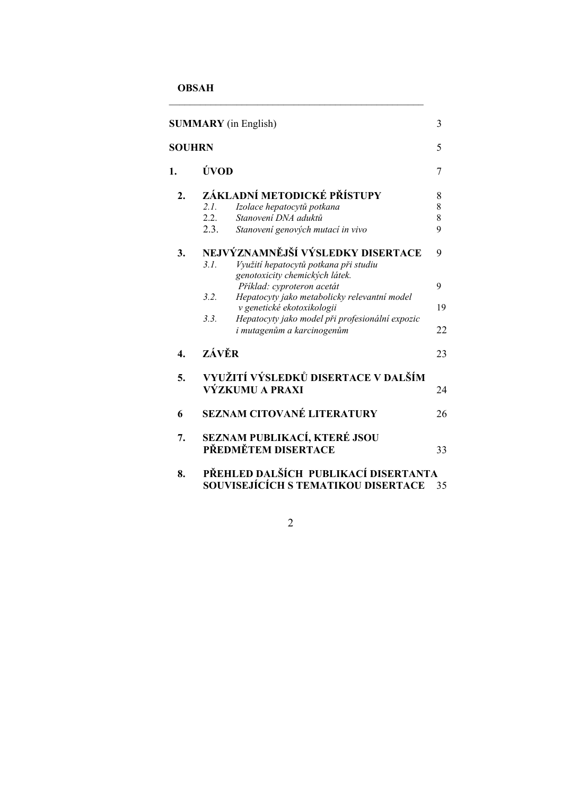**OBSAH** 

| <b>SUMMARY</b> (in English) |                                                                                   |                                                                                                              | 3           |
|-----------------------------|-----------------------------------------------------------------------------------|--------------------------------------------------------------------------------------------------------------|-------------|
| <b>SOUHRN</b>               |                                                                                   |                                                                                                              | 5           |
| 1.                          | ÚVOD                                                                              |                                                                                                              | 7           |
| $\overline{2}$ .            | 2.1.                                                                              | ZÁKLADNÍ METODICKÉ PŘÍSTUPY<br>Izolace hepatocytů potkana                                                    |             |
|                             | 2.2.<br>2.3.                                                                      | Stanovení DNA aduktů<br>Stanovení genových mutací in vivo                                                    | 8<br>8<br>9 |
| 3.                          | 3.1.                                                                              | NEJVÝZNAMNĚJŠÍ VÝSLEDKY DISERTACE<br>Využití hepatocytů potkana při studiu<br>genotoxicity chemických látek. | 9           |
|                             | 3.2.                                                                              | Příklad: cyproteron acetát<br>Hepatocyty jako metabolicky relevantní model                                   | 9           |
|                             |                                                                                   | v genetické ekotoxikologii                                                                                   | 19          |
|                             | 3.3.                                                                              | Hepatocyty jako model při profesionální expozic<br>i mutagenům a karcinogenům                                | 22          |
| 4.                          | ZÁVĚR                                                                             |                                                                                                              | 23          |
| 5.                          | VYUŽITÍ VÝSLEDKŮ DISERTACE V DALŠÍM<br>VÝZKUMU A PRAXI                            |                                                                                                              | 24          |
| 6                           |                                                                                   | SEZNAM CITOVANÉ LITERATURY                                                                                   | 26          |
| 7.                          | SEZNAM PUBLIKACÍ, KTERÉ JSOU<br>PŘEDMĚTEM DISERTACE<br>33                         |                                                                                                              |             |
| 8.                          | PŘEHLED DALŠÍCH PUBLIKACÍ DISERTANTA<br>SOUVISEJÍCÍCH S TEMATIKOU DISERTACE<br>35 |                                                                                                              |             |

 $\mathcal{L}_\text{max}$  and the contract of the contract of the contract of the contract of the contract of the contract of the contract of the contract of the contract of the contract of the contract of the contract of the contrac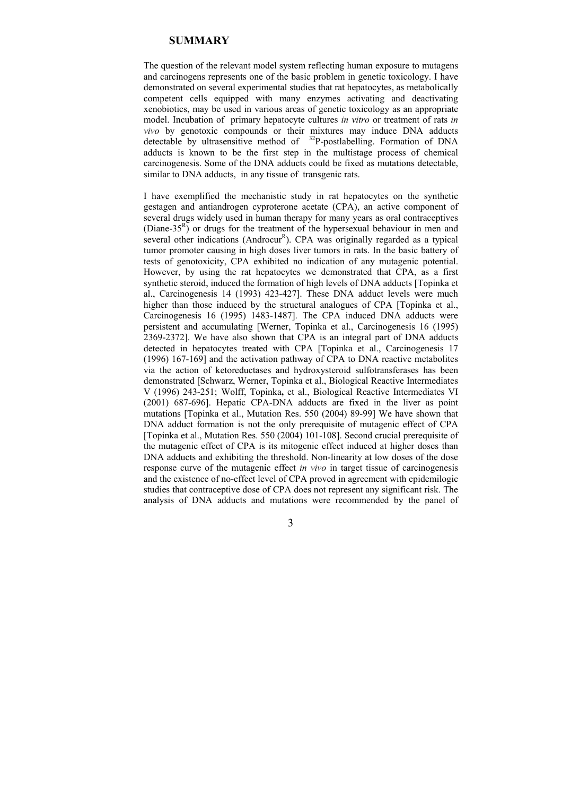## **SUMMARY**

The question of the relevant model system reflecting human exposure to mutagens and carcinogens represents one of the basic problem in genetic toxicology. I have demonstrated on several experimental studies that rat hepatocytes, as metabolically competent cells equipped with many enzymes activating and deactivating xenobiotics, may be used in various areas of genetic toxicology as an appropriate model. Incubation of primary hepatocyte cultures *in vitro* or treatment of rats *in vivo* by genotoxic compounds or their mixtures may induce DNA adducts detectable by ultrasensitive method of  $32P$ -postlabelling. Formation of DNA adducts is known to be the first step in the multistage process of chemical carcinogenesis. Some of the DNA adducts could be fixed as mutations detectable, similar to DNA adducts, in any tissue of transgenic rats.

I have exemplified the mechanistic study in rat hepatocytes on the synthetic gestagen and antiandrogen cyproterone acetate (CPA), an active component of several drugs widely used in human therapy for many years as oral contraceptives (Diane-35 $^{R}$ ) or drugs for the treatment of the hypersexual behaviour in men and several other indications (Androcur<sup>R</sup>). CPA was originally regarded as a typical tumor promoter causing in high doses liver tumors in rats. In the basic battery of tests of genotoxicity, CPA exhibited no indication of any mutagenic potential. However, by using the rat hepatocytes we demonstrated that CPA, as a first synthetic steroid, induced the formation of high levels of DNA adducts [Topinka et al., Carcinogenesis 14 (1993) 423-427]. These DNA adduct levels were much higher than those induced by the structural analogues of CPA [Topinka et al., Carcinogenesis 16 (1995) 1483-1487]. The CPA induced DNA adducts were persistent and accumulating [Werner, Topinka et al., Carcinogenesis 16 (1995) 2369-2372]. We have also shown that CPA is an integral part of DNA adducts detected in hepatocytes treated with CPA [Topinka et al., Carcinogenesis 17 (1996) 167-169] and the activation pathway of CPA to DNA reactive metabolites via the action of ketoreductases and hydroxysteroid sulfotransferases has been demonstrated [Schwarz, Werner, Topinka et al., Biological Reactive Intermediates V (1996) 243-251; Wolff, Topinka**,** et al., Biological Reactive Intermediates VI (2001) 687-696]. Hepatic CPA-DNA adducts are fixed in the liver as point mutations [Topinka et al., Mutation Res. 550 (2004) 89-99] We have shown that DNA adduct formation is not the only prerequisite of mutagenic effect of CPA [Topinka et al., Mutation Res. 550 (2004) 101-108]. Second crucial prerequisite of the mutagenic effect of CPA is its mitogenic effect induced at higher doses than DNA adducts and exhibiting the threshold. Non-linearity at low doses of the dose response curve of the mutagenic effect *in vivo* in target tissue of carcinogenesis and the existence of no-effect level of CPA proved in agreement with epidemilogic studies that contraceptive dose of CPA does not represent any significant risk. The analysis of DNA adducts and mutations were recommended by the panel of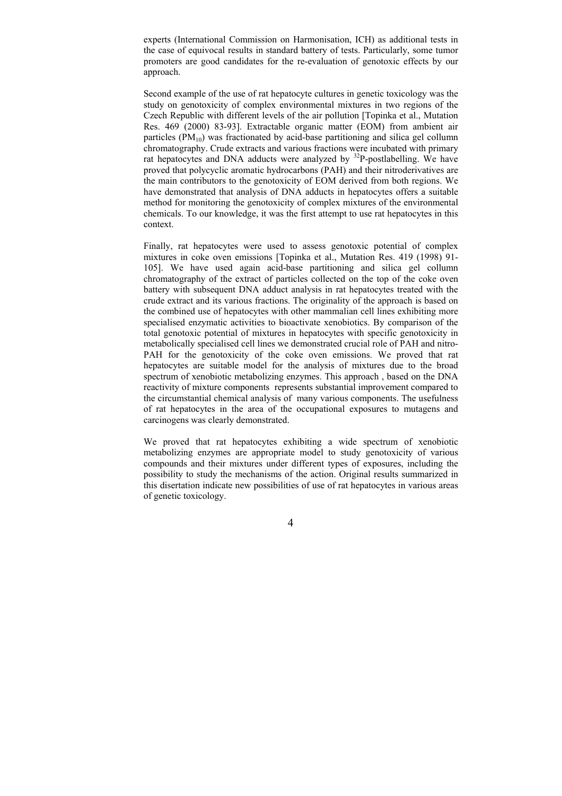experts (International Commission on Harmonisation, ICH) as additional tests in the case of equivocal results in standard battery of tests. Particularly, some tumor promoters are good candidates for the re-evaluation of genotoxic effects by our approach.

Second example of the use of rat hepatocyte cultures in genetic toxicology was the study on genotoxicity of complex environmental mixtures in two regions of the Czech Republic with different levels of the air pollution [Topinka et al., Mutation Res. 469 (2000) 83-93]. Extractable organic matter (EOM) from ambient air particles  $(PM_{10})$  was fractionated by acid-base partitioning and silica gel collumn chromatography. Crude extracts and various fractions were incubated with primary rat hepatocytes and DNA adducts were analyzed by <sup>32</sup>P-postlabelling. We have proved that polycyclic aromatic hydrocarbons (PAH) and their nitroderivatives are the main contributors to the genotoxicity of EOM derived from both regions. We have demonstrated that analysis of DNA adducts in hepatocytes offers a suitable method for monitoring the genotoxicity of complex mixtures of the environmental chemicals. To our knowledge, it was the first attempt to use rat hepatocytes in this context.

Finally, rat hepatocytes were used to assess genotoxic potential of complex mixtures in coke oven emissions [Topinka et al., Mutation Res. 419 (1998) 91- 105]. We have used again acid-base partitioning and silica gel collumn chromatography of the extract of particles collected on the top of the coke oven battery with subsequent DNA adduct analysis in rat hepatocytes treated with the crude extract and its various fractions. The originality of the approach is based on the combined use of hepatocytes with other mammalian cell lines exhibiting more specialised enzymatic activities to bioactivate xenobiotics. By comparison of the total genotoxic potential of mixtures in hepatocytes with specific genotoxicity in metabolically specialised cell lines we demonstrated crucial role of PAH and nitro-PAH for the genotoxicity of the coke oven emissions. We proved that rat hepatocytes are suitable model for the analysis of mixtures due to the broad spectrum of xenobiotic metabolizing enzymes. This approach , based on the DNA reactivity of mixture components represents substantial improvement compared to the circumstantial chemical analysis of many various components. The usefulness of rat hepatocytes in the area of the occupational exposures to mutagens and carcinogens was clearly demonstrated.

We proved that rat hepatocytes exhibiting a wide spectrum of xenobiotic metabolizing enzymes are appropriate model to study genotoxicity of various compounds and their mixtures under different types of exposures, including the possibility to study the mechanisms of the action. Original results summarized in this disertation indicate new possibilities of use of rat hepatocytes in various areas of genetic toxicology.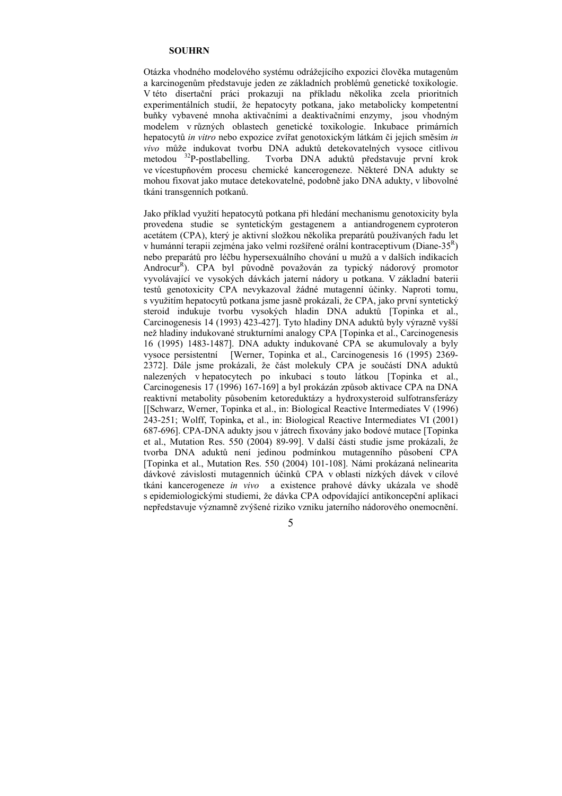#### **SOUHRN**

Otázka vhodného modelového systému odrážejícího expozici člověka mutagenům a karcinogenům představuje jeden ze základních problémů genetické toxikologie. V této disertační práci prokazuji na příkladu několika zcela prioritních experimentálních studií, že hepatocyty potkana, jako metabolicky kompetentní buňky vybavené mnoha aktivačními a deaktivačními enzymy, jsou vhodným modelem v různých oblastech genetické toxikologie. Inkubace primárních hepatocytů *in vitro* nebo expozice zvířat genotoxickým látkám či jejich směsím *in vivo* může indukovat tvorbu DNA aduktů detekovatelných vysoce citlivou metodou <sup>32</sup>P-postlabelling. Tvorba DNA aduktů představuje první krok Tvorba DNA aduktů představuje první krok ve vícestupňovém procesu chemické kancerogeneze. Některé DNA adukty se mohou fixovat jako mutace detekovatelné, podobně jako DNA adukty, v libovolné tkáni transgenních potkanů.

Jako příklad využití hepatocytů potkana při hledání mechanismu genotoxicity byla provedena studie se syntetickým gestagenem a antiandrogenem cyproteron acetátem (CPA), který je aktivní složkou několika preparátů používaných řadu let v humánní terapii zejména jako velmi rozšířené orální kontraceptivum (Diane-35<sup>R</sup>) nebo preparátů pro léčbu hypersexuálního chování u mužů a v dalších indikacích Androcur<sup>R</sup>). CPA byl původně považován za typický nádorový promotor vyvolávající ve vysokých dávkách jaterní nádory u potkana. V základní baterii testů genotoxicity CPA nevykazoval žádné mutagenní účinky. Naproti tomu, s využitím hepatocytů potkana jsme jasně prokázali, že CPA, jako první syntetický steroid indukuje tvorbu vysokých hladin DNA aduktů [Topinka et al., Carcinogenesis 14 (1993) 423-427]. Tyto hladiny DNA aduktů byly výrazně vyšší než hladiny indukované strukturními analogy CPA [Topinka et al., Carcinogenesis 16 (1995) 1483-1487]. DNA adukty indukované CPA se akumulovaly a byly vysoce persistentní [Werner, Topinka et al., Carcinogenesis 16 (1995) 2369- 2372]. Dále jsme prokázali, že část molekuly CPA je součástí DNA aduktů nalezených v hepatocytech po inkubaci s touto látkou [Topinka et al., Carcinogenesis 17 (1996) 167-169] a byl prokázán způsob aktivace CPA na DNA reaktivní metabolity působením ketoreduktázy a hydroxysteroid sulfotransferázy [[Schwarz, Werner, Topinka et al., in: Biological Reactive Intermediates V (1996) 243-251; Wolff, Topinka**,** et al., in: Biological Reactive Intermediates VI (2001) 687-696]. CPA-DNA adukty jsou v játrech fixovány jako bodové mutace [Topinka et al., Mutation Res. 550 (2004) 89-99]. V další části studie jsme prokázali, že tvorba DNA aduktů není jedinou podmínkou mutagenního působení CPA [Topinka et al., Mutation Res. 550 (2004) 101-108]. Námi prokázaná nelinearita dávkové závislosti mutagenních účinků CPA v oblasti nízkých dávek v cílové tkáni kancerogeneze *in vivo* a existence prahové dávky ukázala ve shodě s epidemiologickými studiemi, že dávka CPA odpovídající antikoncepční aplikaci nepředstavuje významně zvýšené riziko vzniku jaterního nádorového onemocnění.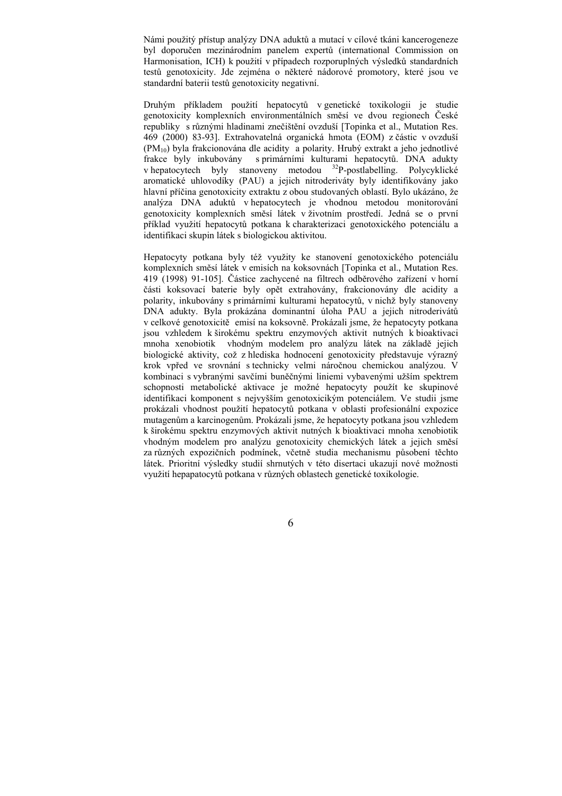Námi použitý přístup analýzy DNA aduktů a mutací v cílové tkáni kancerogeneze byl doporučen mezinárodním panelem expertů (international Commission on Harmonisation, ICH) k použití v případech rozporuplných výsledků standardních testů genotoxicity. Jde zejména o některé nádorové promotory, které jsou ve standardní baterii testů genotoxicity negativní.

Druhým příkladem použití hepatocytů v genetické toxikologii je studie genotoxicity komplexních environmentálních směsí ve dvou regionech České republiky s různými hladinami znečištění ovzduší [Topinka et al., Mutation Res. 469 (2000) 83-93]. Extrahovatelná organická hmota (EOM) z částic v ovzduší  $(PM_{10})$  byla frakcionována dle acidity a polarity. Hrubý extrakt a jeho jednotlivé frakce byly inkubovány s primárními kulturami hepatocytů. DNA adukty v hepatocytech byly stanoveny metodou <sup>32</sup>P-postlabelling. Polycyklické aromatické uhlovodíky (PAU) a jejich nitroderiváty byly identifikovány jako hlavní příčina genotoxicity extraktu z obou studovaných oblastí. Bylo ukázáno, že analýza DNA aduktů v hepatocytech je vhodnou metodou monitorování genotoxicity komplexních směsí látek v životním prostředí. Jedná se o první příklad využití hepatocytů potkana k charakterizaci genotoxického potenciálu a identifikaci skupin látek s biologickou aktivitou.

Hepatocyty potkana byly též využity ke stanovení genotoxického potenciálu komplexních směsí látek v emisích na koksovnách [Topinka et al., Mutation Res. 419 (1998) 91-105]. Částice zachycené na filtrech odběrového zařízení v horní části koksovací baterie byly opět extrahovány, frakcionovány dle acidity a polarity, inkubovány s primárními kulturami hepatocytů, v nichž byly stanoveny DNA adukty. Byla prokázána dominantní úloha PAU a jejich nitroderivátů v celkové genotoxicitě emisí na koksovně. Prokázali jsme, že hepatocyty potkana jsou vzhledem k širokému spektru enzymových aktivit nutných k bioaktivaci mnoha xenobiotik vhodným modelem pro analýzu látek na základě jejich biologické aktivity, což z hlediska hodnocení genotoxicity představuje výrazný krok vpřed ve srovnání s technicky velmi náročnou chemickou analýzou. V kombinaci s vybranými savčími buněčnými liniemi vybavenými užším spektrem schopnosti metabolické aktivace je možné hepatocyty použít ke skupinové identifikaci komponent s nejvyšším genotoxicikým potenciálem. Ve studii jsme prokázali vhodnost použití hepatocytů potkana v oblasti profesionální expozice mutagenům a karcinogenům. Prokázali jsme, že hepatocyty potkana jsou vzhledem k širokému spektru enzymových aktivit nutných k bioaktivaci mnoha xenobiotik vhodným modelem pro analýzu genotoxicity chemických látek a jejich směsí za různých expozičních podmínek, včetně studia mechanismu působení těchto látek. Prioritní výsledky studií shrnutých v této disertaci ukazují nové možnosti využití hepapatocytů potkana v různých oblastech genetické toxikologie.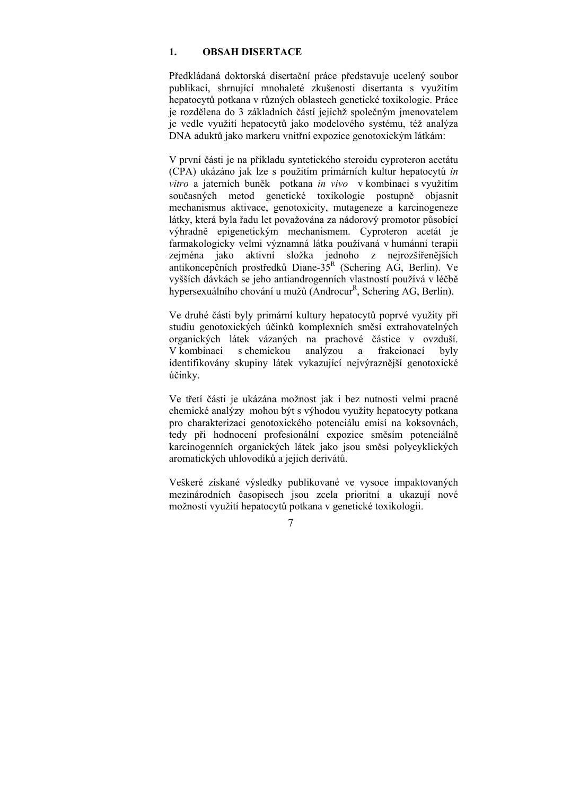### **1. OBSAH DISERTACE**

Předkládaná doktorská disertační práce představuje ucelený soubor publikací, shrnující mnohaleté zkušenosti disertanta s využitím hepatocytů potkana v různých oblastech genetické toxikologie. Práce je rozdělena do 3 základních částí jejichž společným jmenovatelem je vedle využití hepatocytů jako modelového systému, též analýza DNA aduktů jako markeru vnitřní expozice genotoxickým látkám:

V první části je na příkladu syntetického steroidu cyproteron acetátu (CPA) ukázáno jak lze s použitím primárních kultur hepatocytů *in vitro* a jaterních buněk potkana *in vivo* v kombinaci s využitím současných metod genetické toxikologie postupně objasnit mechanismus aktivace, genotoxicity, mutageneze a karcinogeneze látky, která byla řadu let považována za nádorový promotor působící výhradně epigenetickým mechanismem. Cyproteron acetát je farmakologicky velmi významná látka používaná v humánní terapii zejména jako aktivní složka jednoho z nejrozšířenějších antikoncepčních prostředků Diane-35<sup>R</sup> (Schering AG, Berlin). Ve vyšších dávkách se jeho antiandrogenních vlastností používá v léčbě hypersexuálního chování u mužů (Androcur<sup>R</sup>, Schering AG, Berlin).

Ve druhé části byly primární kultury hepatocytů poprvé využity při studiu genotoxických účinků komplexních směsí extrahovatelných organických látek vázaných na prachové částice v ovzduší. V kombinaci s chemickou analýzou a frakcionací byly identifikovány skupiny látek vykazující nejvýraznější genotoxické účinky.

Ve třetí části je ukázána možnost jak i bez nutnosti velmi pracné chemické analýzy mohou být s výhodou využity hepatocyty potkana pro charakterizaci genotoxického potenciálu emisí na koksovnách, tedy při hodnocení profesionální expozice směsím potenciálně karcinogenních organických látek jako jsou směsi polycyklických aromatických uhlovodíků a jejich derivátů.

Veškeré získané výsledky publikované ve vysoce impaktovaných mezinárodních časopisech jsou zcela prioritní a ukazují nové možnosti využití hepatocytů potkana v genetické toxikologii.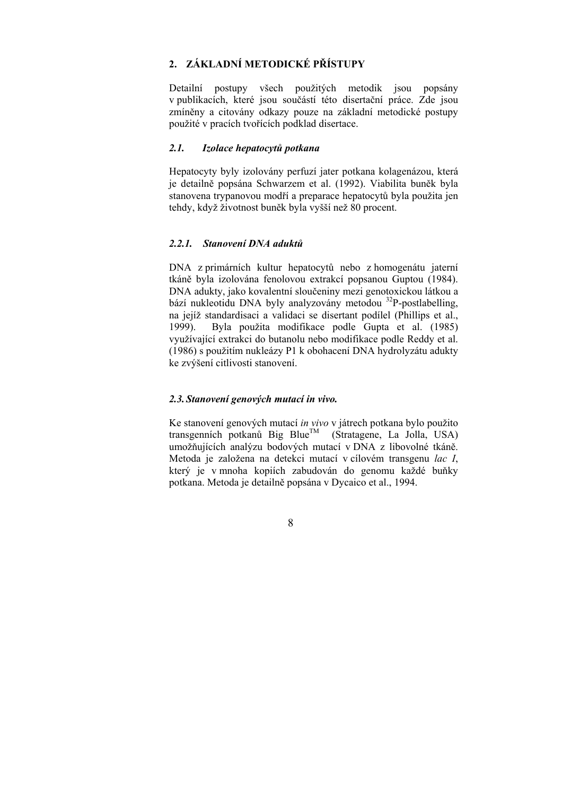## **2. ZÁKLADNÍ METODICKÉ PŘÍSTUPY**

Detailní postupy všech použitých metodik jsou popsány v publikacích, které jsou součástí této disertační práce. Zde jsou zmíněny a citovány odkazy pouze na základní metodické postupy použité v pracích tvořících podklad disertace.

## *2.1. Izolace hepatocytů potkana*

Hepatocyty byly izolovány perfuzí jater potkana kolagenázou, která je detailně popsána Schwarzem et al. (1992). Viabilita buněk byla stanovena trypanovou modří a preparace hepatocytů byla použita jen tehdy, když životnost buněk byla vyšší než 80 procent.

#### *2.2.1. Stanovení DNA aduktů*

DNA z primárních kultur hepatocytů nebo z homogenátu jaterní tkáně byla izolována fenolovou extrakcí popsanou Guptou (1984). DNA adukty, jako kovalentní sloučeniny mezi genotoxickou látkou a bází nukleotidu DNA byly analyzovány metodou 32P-postlabelling, na jejíž standardisaci a validaci se disertant podílel (Phillips et al., 1999). Byla použita modifikace podle Gupta et al. (1985) využívající extrakci do butanolu nebo modifikace podle Reddy et al. (1986) s použitím nukleázy P1 k obohacení DNA hydrolyzátu adukty ke zvýšení citlivosti stanovení.

#### *2.3. Stanovení genových mutací in vivo.*

Ke stanovení genových mutací *in vivo* v játrech potkana bylo použito transgenních potkanů Big Blue<sup>TM</sup> (Stratagene, La Jolla, USA) umožňujících analýzu bodových mutací v DNA z libovolné tkáně. Metoda je založena na detekci mutací v cílovém transgenu *lac I*, který je v mnoha kopiích zabudován do genomu každé buňky potkana. Metoda je detailně popsána v Dycaico et al., 1994.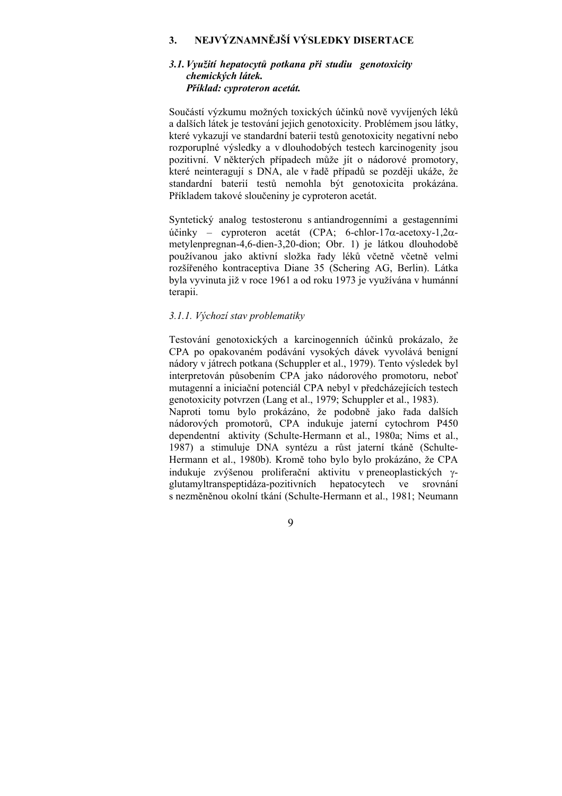## **3. NEJVÝZNAMNĚJŠÍ VÝSLEDKY DISERTACE**

### *3.1.Využití hepatocytů potkana při studiu genotoxicity chemických látek. Příklad: cyproteron acetát.*

Součástí výzkumu možných toxických účinků nově vyvíjených léků a dalších látek je testování jejich genotoxicity. Problémem jsou látky, které vykazují ve standardní baterii testů genotoxicity negativní nebo rozporuplné výsledky a v dlouhodobých testech karcinogenity jsou pozitivní. V některých případech může jít o nádorové promotory, které neinteragují s DNA, ale v řadě případů se později ukáže, že standardní baterií testů nemohla být genotoxicita prokázána. Příkladem takové sloučeniny je cyproteron acetát.

Syntetický analog testosteronu s antiandrogenními a gestagenními účinky – cyproteron acetát (CPA; 6-chlor-17α-acetoxy-1,2αmetylenpregnan-4,6-dien-3,20-dion; Obr. 1) je látkou dlouhodobě používanou jako aktivní složka řady léků včetně včetně velmi rozšířeného kontraceptiva Diane 35 (Schering AG, Berlin). Látka byla vyvinuta již v roce 1961 a od roku 1973 je využívána v humánní terapii.

## *3.1.1. Výchozí stav problematiky*

Testování genotoxických a karcinogenních účinků prokázalo, že CPA po opakovaném podávání vysokých dávek vyvolává benigní nádory v játrech potkana (Schuppler et al., 1979). Tento výsledek byl interpretován působením CPA jako nádorového promotoru, neboť mutagenní a iniciační potenciál CPA nebyl v předcházejících testech genotoxicity potvrzen (Lang et al., 1979; Schuppler et al., 1983). Naproti tomu bylo prokázáno, že podobně jako řada dalších nádorových promotorů, CPA indukuje jaterní cytochrom P450 dependentní aktivity (Schulte-Hermann et al., 1980a; Nims et al., 1987) a stimuluje DNA syntézu a růst jaterní tkáně (Schulte-Hermann et al., 1980b). Kromě toho bylo bylo prokázáno, že CPA indukuje zvýšenou proliferační aktivitu v preneoplastických γglutamyltranspeptidáza-pozitivních hepatocytech ve srovnání s nezměněnou okolní tkání (Schulte-Hermann et al., 1981; Neumann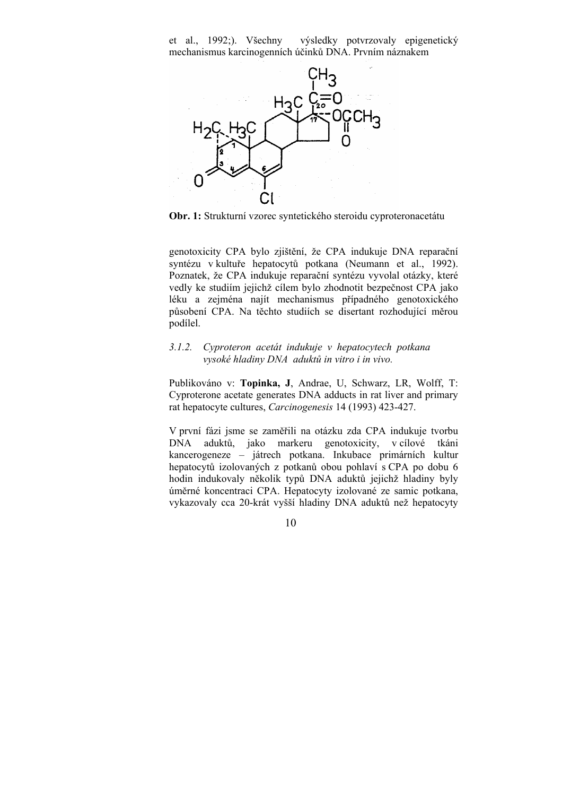et al., 1992;). Všechny výsledky potvrzovaly epigenetický mechanismus karcinogenních účinků DNA. Prvním náznakem



**Obr. 1:** Strukturní vzorec syntetického steroidu cyproteronacetátu

genotoxicity CPA bylo zjištění, že CPA indukuje DNA reparační syntézu v kultuře hepatocytů potkana (Neumann et al., 1992). Poznatek, že CPA indukuje reparační syntézu vyvolal otázky, které vedly ke studiím jejichž cílem bylo zhodnotit bezpečnost CPA jako léku a zejména najít mechanismus případného genotoxického působení CPA. Na těchto studiích se disertant rozhodující měrou podílel.

## *3.1.2. Cyproteron acetát indukuje v hepatocytech potkana vysoké hladiny DNA aduktů in vitro i in vivo.*

Publikováno v: **Topinka, J**, Andrae, U, Schwarz, LR, Wolff, T: Cyproterone acetate generates DNA adducts in rat liver and primary rat hepatocyte cultures, *Carcinogenesis* 14 (1993) 423-427.

V první fázi jsme se zaměřili na otázku zda CPA indukuje tvorbu DNA aduktů, jako markeru genotoxicity, v cílové tkáni kancerogeneze – játrech potkana. Inkubace primárních kultur hepatocytů izolovaných z potkanů obou pohlaví s CPA po dobu 6 hodin indukovaly několik typů DNA aduktů jejichž hladiny byly úměrné koncentraci CPA. Hepatocyty izolované ze samic potkana, vykazovaly cca 20-krát vyšší hladiny DNA aduktů než hepatocyty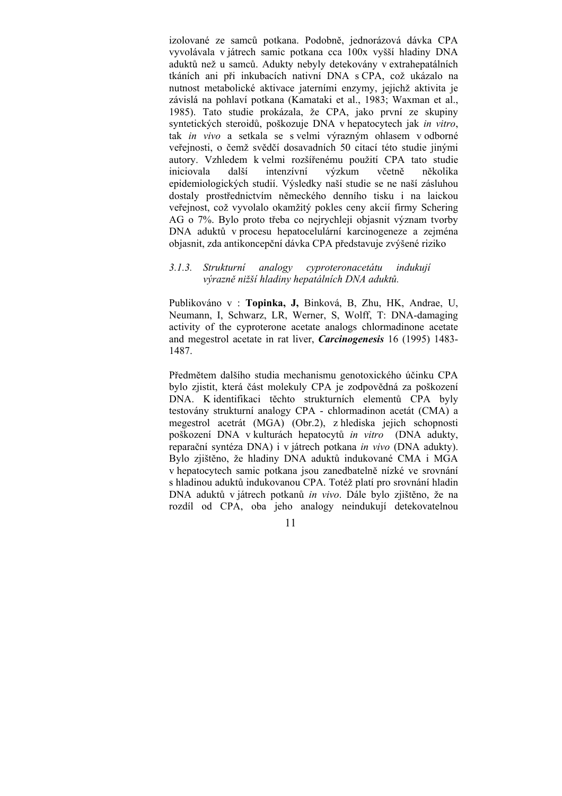izolované ze samců potkana. Podobně, jednorázová dávka CPA vyvolávala v játrech samic potkana cca 100x vyšší hladiny DNA aduktů než u samců. Adukty nebyly detekovány v extrahepatálních tkáních ani při inkubacích nativní DNA s CPA, což ukázalo na nutnost metabolické aktivace jaterními enzymy, jejichž aktivita je závislá na pohlaví potkana (Kamataki et al., 1983; Waxman et al., 1985). Tato studie prokázala, že CPA, jako první ze skupiny syntetických steroidů, poškozuje DNA v hepatocytech jak *in vitro*, tak *in vivo* a setkala se s velmi výrazným ohlasem v odborné veřejnosti, o čemž svědčí dosavadních 50 citací této studie jinými autory. Vzhledem k velmi rozšířenému použití CPA tato studie iniciovala další intenzívní výzkum včetně několika epidemiologických studií. Výsledky naší studie se ne naší zásluhou dostaly prostřednictvím německého denního tisku i na laickou veřejnost, což vyvolalo okamžitý pokles ceny akcií firmy Schering AG o 7%. Bylo proto třeba co nejrychleji objasnit význam tvorby DNA aduktů v procesu hepatocelulární karcinogeneze a zejména objasnit, zda antikoncepční dávka CPA představuje zvýšené riziko

## *3.1.3. Strukturní analogy cyproteronacetátu indukují výrazně nižší hladiny hepatálních DNA aduktů.*

Publikováno v : **Topinka, J,** Binková, B, Zhu, HK, Andrae, U, Neumann, I, Schwarz, LR, Werner, S, Wolff, T: DNA-damaging activity of the cyproterone acetate analogs chlormadinone acetate and megestrol acetate in rat liver, *Carcinogenesis* 16 (1995) 1483- 1487.

Předmětem dalšího studia mechanismu genotoxického účinku CPA bylo zjistit, která část molekuly CPA je zodpovědná za poškození DNA. K identifikaci těchto strukturních elementů CPA byly testovány strukturní analogy CPA - chlormadinon acetát (CMA) a megestrol acetrát (MGA) (Obr.2), z hlediska jejich schopnosti poškození DNA v kulturách hepatocytů *in vitro* (DNA adukty, reparační syntéza DNA) i v játrech potkana *in vivo* (DNA adukty). Bylo zjištěno, že hladiny DNA aduktů indukované CMA i MGA v hepatocytech samic potkana jsou zanedbatelně nízké ve srovnání s hladinou aduktů indukovanou CPA. Totéž platí pro srovnání hladin DNA aduktů v játrech potkanů *in vivo*. Dále bylo zjištěno, že na rozdíl od CPA, oba jeho analogy neindukují detekovatelnou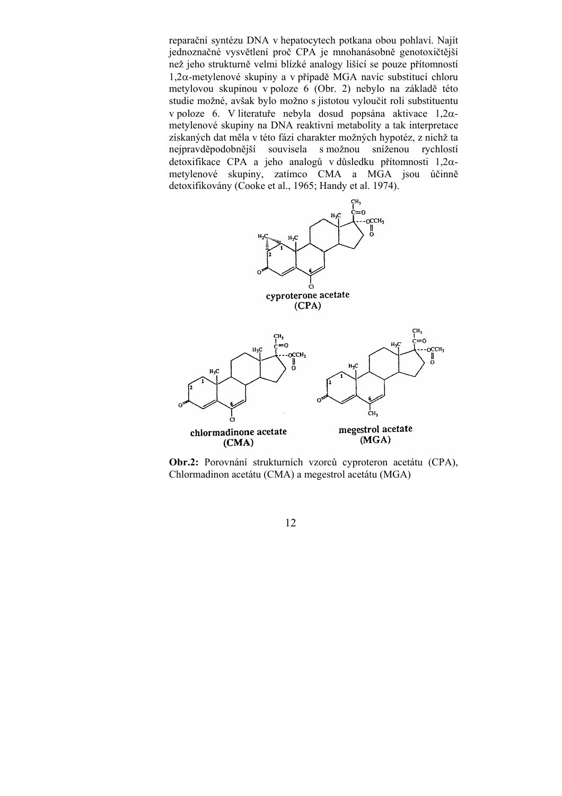reparační syntézu DNA v hepatocytech potkana obou pohlaví. Najít jednoznačné vysvětlení proč CPA je mnohanásobně genotoxičtější než jeho strukturně velmi blízké analogy lišící se pouze přítomností 1,2α-metylenové skupiny a v případě MGA navíc substitucí chloru metylovou skupinou v poloze 6 (Obr. 2) nebylo na základě této studie možné, avšak bylo možno s jistotou vyloučit roli substituentu v poloze 6. V literatuře nebyla dosud popsána aktivace 1,2αmetylenové skupiny na DNA reaktivní metabolity a tak interpretace získaných dat měla v této fázi charakter možných hypotéz, z nichž ta nejpravděpodobnější souvisela s možnou sníženou rychlostí detoxifikace CPA a jeho analogů v důsledku přítomnosti 1,2αmetylenové skupiny, zatímco CMA a MGA jsou účinně detoxifikovány (Cooke et al., 1965; Handy et al. 1974).



**Obr.2:** Porovnání strukturních vzorců cyproteron acetátu (CPA), Chlormadinon acetátu (CMA) a megestrol acetátu (MGA)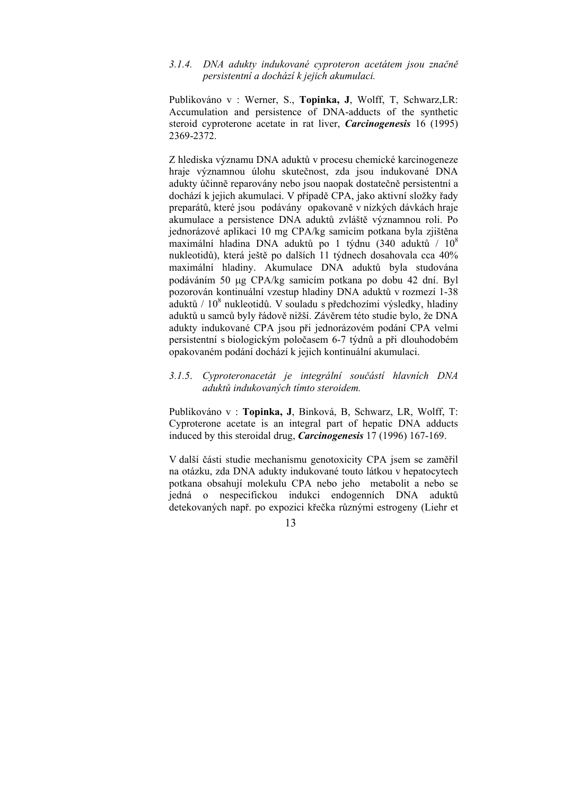#### *3.1.4. DNA adukty indukované cyproteron acetátem jsou značně persistentní a dochází k jejich akumulaci.*

Publikováno v : Werner, S., **Topinka, J**, Wolff, T, Schwarz,LR: Accumulation and persistence of DNA-adducts of the synthetic steroid cyproterone acetate in rat liver, *Carcinogenesis* 16 (1995) 2369-2372.

Z hlediska významu DNA aduktů v procesu chemické karcinogeneze hraje významnou úlohu skutečnost, zda jsou indukované DNA adukty účinně reparovány nebo jsou naopak dostatečně persistentní a dochází k jejich akumulaci. V případě CPA, jako aktivní složky řady preparátů, které jsou podávány opakovaně v nízkých dávkách hraje akumulace a persistence DNA aduktů zvláště významnou roli. Po jednorázové aplikaci 10 mg CPA/kg samicím potkana byla zjištěna maximální hladina DNA aduktů po 1 týdnu (340 aduktů / 10<sup>8</sup> nukleotidů), která ještě po dalších 11 týdnech dosahovala cca 40% maximální hladiny. Akumulace DNA aduktů byla studována podáváním 50 µg CPA/kg samicím potkana po dobu 42 dní. Byl pozorován kontinuální vzestup hladiny DNA aduktů v rozmezí 1-38 aduktů / 108 nukleotidů. V souladu s předchozími výsledky, hladiny aduktů u samců byly řádově nižší. Závěrem této studie bylo, že DNA adukty indukované CPA jsou při jednorázovém podání CPA velmi persistentní s biologickým poločasem 6-7 týdnů a při dlouhodobém opakovaném podání dochází k jejich kontinuální akumulaci.

### *3.1.5*. *Cyproteronacetát je integrální součástí hlavních DNA aduktů indukovaných tímto steroidem.*

Publikováno v : **Topinka, J**, Binková, B, Schwarz, LR, Wolff, T: Cyproterone acetate is an integral part of hepatic DNA adducts induced by this steroidal drug, *Carcinogenesis* 17 (1996) 167-169.

V další části studie mechanismu genotoxicity CPA jsem se zaměřil na otázku, zda DNA adukty indukované touto látkou v hepatocytech potkana obsahují molekulu CPA nebo jeho metabolit a nebo se jedná o nespecifickou indukci endogenních DNA aduktů detekovaných např. po expozici křečka různými estrogeny (Liehr et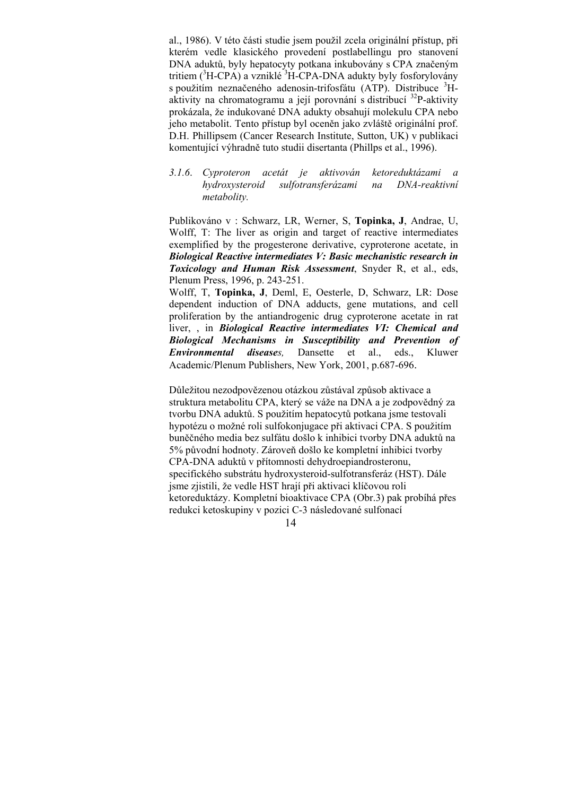al., 1986). V této části studie jsem použil zcela originální přístup, při kterém vedle klasického provedení postlabellingu pro stanovení DNA aduktů, byly hepatocyty potkana inkubovány s CPA značeným tritiem (<sup>3</sup>H-CPA) a vzniklé <sup>3</sup>H-CPA-DNA adukty byly fosforylovány s použitím neznačeného adenosin-trifosfátu (ATP). Distribuce <sup>3</sup>Haktivity na chromatogramu a její porovnání s distribucí 32P-aktivity prokázala, že indukované DNA adukty obsahují molekulu CPA nebo jeho metabolit. Tento přístup byl oceněn jako zvláště originální prof. D.H. Phillipsem (Cancer Research Institute, Sutton, UK) v publikaci komentující výhradně tuto studii disertanta (Phillps et al., 1996).

*3.1.6*. *Cyproteron acetát je aktivován ketoreduktázami a hydroxysteroid sulfotransferázami na DNA-reaktivní metabolity.* 

Publikováno v : Schwarz, LR, Werner, S, **Topinka, J**, Andrae, U, Wolff, T: The liver as origin and target of reactive intermediates exemplified by the progesterone derivative, cyproterone acetate, in *Biological Reactive intermediates V: Basic mechanistic research in Toxicology and Human Risk Assessment*, Snyder R, et al., eds, Plenum Press, 1996, p. 243-251.

Wolff, T, **Topinka, J**, Deml, E, Oesterle, D, Schwarz, LR: Dose dependent induction of DNA adducts, gene mutations, and cell proliferation by the antiandrogenic drug cyproterone acetate in rat liver, , in *Biological Reactive intermediates VI: Chemical and Biological Mechanisms in Susceptibility and Prevention of Environmental diseases,* Dansette et al., eds., Kluwer Academic/Plenum Publishers, New York, 2001, p.687-696.

Důležitou nezodpovězenou otázkou zůstával způsob aktivace a struktura metabolitu CPA, který se váže na DNA a je zodpovědný za tvorbu DNA aduktů. S použitím hepatocytů potkana jsme testovali hypotézu o možné roli sulfokonjugace při aktivaci CPA. S použitím buněčného media bez sulfátu došlo k inhibici tvorby DNA aduktů na 5% původní hodnoty. Zároveň došlo ke kompletní inhibici tvorby CPA-DNA aduktů v přítomnosti dehydroepiandrosteronu, specifického substrátu hydroxysteroid-sulfotransferáz (HST). Dále jsme zjistili, že vedle HST hrají při aktivaci klíčovou roli ketoreduktázy. Kompletní bioaktivace CPA (Obr.3) pak probíhá přes redukci ketoskupiny v pozici C-3 následované sulfonací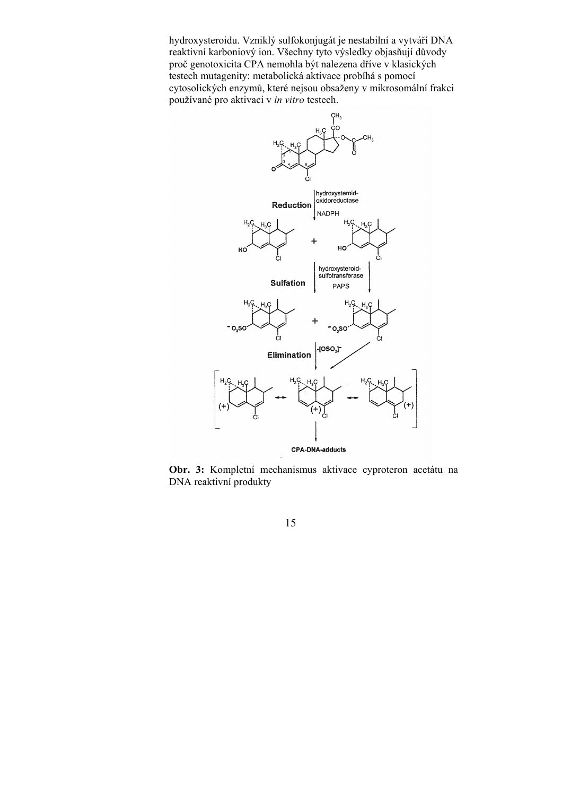hydroxysteroidu. Vzniklý sulfokonjugát je nestabilní a vytváří DNA reaktivní karboniový ion. Všechny tyto výsledky objasňují důvody proč genotoxicita CPA nemohla být nalezena dříve v klasických testech mutagenity: metabolická aktivace probíhá s pomocí cytosolických enzymů, které nejsou obsaženy v mikrosomální frakci používané pro aktivaci v *in vitro* testech.



**Obr. 3:** Kompletní mechanismus aktivace cyproteron acetátu na DNA reaktivní produkty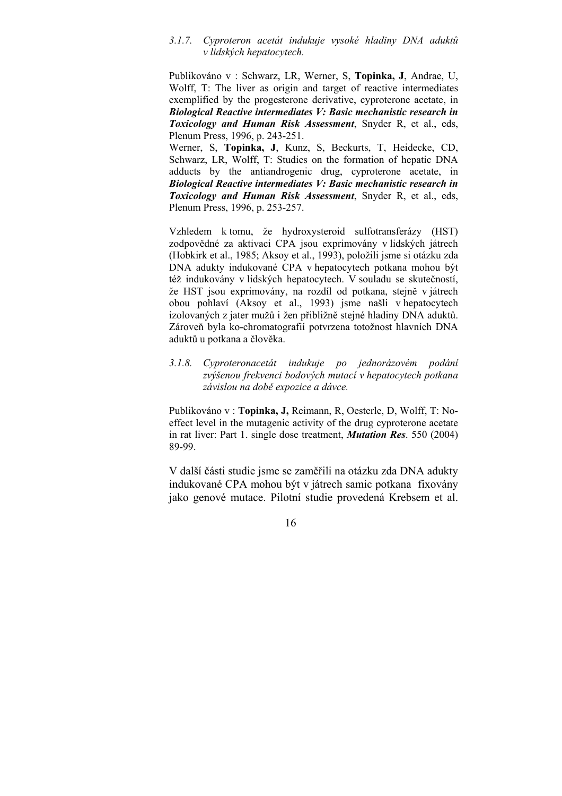#### *3.1.7. Cyproteron acetát indukuje vysoké hladiny DNA aduktů v lidských hepatocytech.*

Publikováno v : Schwarz, LR, Werner, S, **Topinka, J**, Andrae, U, Wolff, T: The liver as origin and target of reactive intermediates exemplified by the progesterone derivative, cyproterone acetate, in *Biological Reactive intermediates V: Basic mechanistic research in Toxicology and Human Risk Assessment*, Snyder R, et al., eds, Plenum Press, 1996, p. 243-251.

Werner, S, **Topinka, J**, Kunz, S, Beckurts, T, Heidecke, CD, Schwarz, LR, Wolff, T: Studies on the formation of hepatic DNA adducts by the antiandrogenic drug, cyproterone acetate, in *Biological Reactive intermediates V: Basic mechanistic research in Toxicology and Human Risk Assessment*, Snyder R, et al., eds, Plenum Press, 1996, p. 253-257.

Vzhledem k tomu, že hydroxysteroid sulfotransferázy (HST) zodpovědné za aktivaci CPA jsou exprimovány v lidských játrech (Hobkirk et al., 1985; Aksoy et al., 1993), položili jsme si otázku zda DNA adukty indukované CPA v hepatocytech potkana mohou být též indukovány v lidských hepatocytech. V souladu se skutečností, že HST jsou exprimovány, na rozdíl od potkana, stejně v játrech obou pohlaví (Aksoy et al., 1993) jsme našli v hepatocytech izolovaných z jater mužů i žen přibližně stejné hladiny DNA aduktů. Zároveň byla ko-chromatografií potvrzena totožnost hlavních DNA aduktů u potkana a člověka.

## *3.1.8. Cyproteronacetát indukuje po jednorázovém podání zvýšenou frekvenci bodových mutací v hepatocytech potkana závislou na době expozice a dávce.*

Publikováno v : **Topinka, J,** Reimann, R, Oesterle, D, Wolff, T: Noeffect level in the mutagenic activity of the drug cyproterone acetate in rat liver: Part 1. single dose treatment, *Mutation Res*. 550 (2004) 89-99.

V další části studie jsme se zaměřili na otázku zda DNA adukty indukované CPA mohou být v játrech samic potkana fixovány jako genové mutace. Pilotní studie provedená Krebsem et al.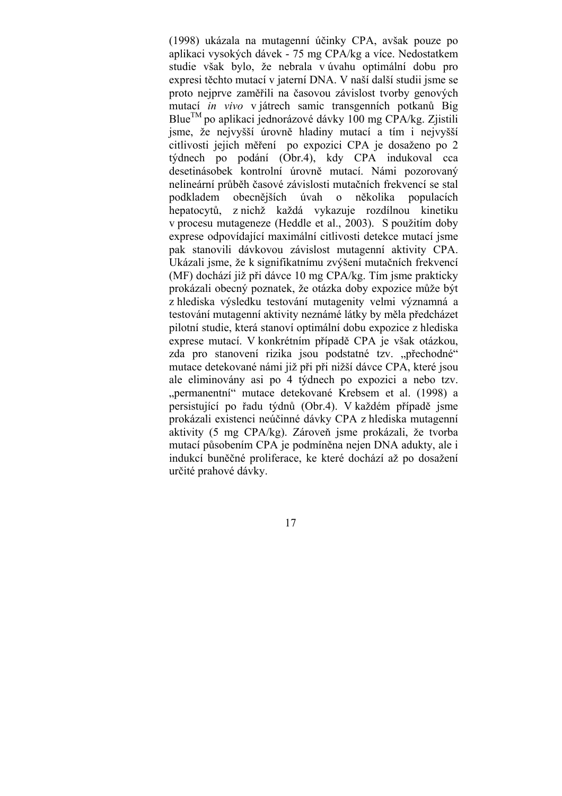(1998) ukázala na mutagenní účinky CPA, avšak pouze po aplikaci vysokých dávek - 75 mg CPA/kg a více. Nedostatkem studie však bylo, že nebrala v úvahu optimální dobu pro expresi těchto mutací v jaterní DNA. V naší další studii jsme se proto nejprve zaměřili na časovou závislost tvorby genových mutací *in vivo* v játrech samic transgenních potkanů Big Blue<sup>TM</sup> po aplikaci jednorázové dávky 100 mg CPA/kg. Zjistili jsme, že nejvyšší úrovně hladiny mutací a tím i nejvyšší citlivosti jejich měření po expozici CPA je dosaženo po 2 týdnech po podání (Obr.4), kdy CPA indukoval cca desetinásobek kontrolní úrovně mutací. Námi pozorovaný nelineární průběh časové závislosti mutačních frekvencí se stal podkladem obecnějších úvah o několika populacích hepatocytů, z nichž každá vykazuje rozdílnou kinetiku v procesu mutageneze (Heddle et al., 2003). S použitím doby exprese odpovídající maximální citlivosti detekce mutací jsme pak stanovili dávkovou závislost mutagenní aktivity CPA. Ukázali jsme, že k signifikatnímu zvýšení mutačních frekvencí (MF) dochází již při dávce 10 mg CPA/kg. Tím jsme prakticky prokázali obecný poznatek, že otázka doby expozice může být z hlediska výsledku testování mutagenity velmi významná a testování mutagenní aktivity neznámé látky by měla předcházet pilotní studie, která stanoví optimální dobu expozice z hlediska exprese mutací. V konkrétním případě CPA je však otázkou, zda pro stanovení rizika jsou podstatné tzv. "přechodné" mutace detekované námi již při při nižší dávce CPA, které jsou ale eliminovány asi po 4 týdnech po expozici a nebo tzv. "permanentní" mutace detekované Krebsem et al. (1998) a persistující po řadu týdnů (Obr.4). V každém případě jsme prokázali existenci neúčinné dávky CPA z hlediska mutagenní aktivity (5 mg CPA/kg). Zároveň jsme prokázali, že tvorba mutací působením CPA je podmíněna nejen DNA adukty, ale i indukcí buněčné proliferace, ke které dochází až po dosažení určité prahové dávky.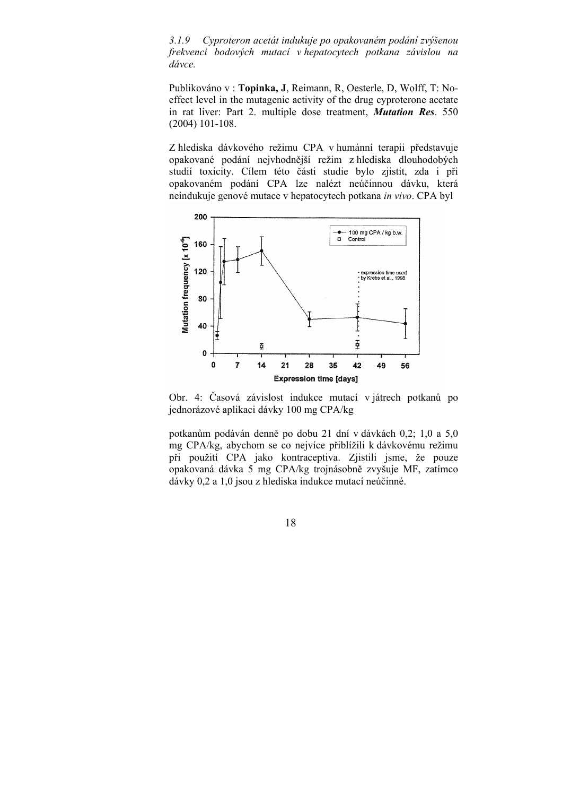*3.1.9 Cyproteron acetát indukuje po opakovaném podání zvýšenou frekvenci bodových mutací v hepatocytech potkana závislou na dávce.*

Publikováno v : **Topinka, J**, Reimann, R, Oesterle, D, Wolff, T: Noeffect level in the mutagenic activity of the drug cyproterone acetate in rat liver: Part 2. multiple dose treatment, *Mutation Res*. 550 (2004) 101-108.

Z hlediska dávkového režimu CPA v humánní terapii představuje opakované podání nejvhodnější režim z hlediska dlouhodobých studií toxicity. Cílem této části studie bylo zjistit, zda i při opakovaném podání CPA lze nalézt neúčinnou dávku, která neindukuje genové mutace v hepatocytech potkana *in vivo*. CPA byl

![](_page_17_Figure_3.jpeg)

Obr. 4: Časová závislost indukce mutací v játrech potkanů po jednorázové aplikaci dávky 100 mg CPA/kg

potkanům podáván denně po dobu 21 dní v dávkách 0,2; 1,0 a 5,0 mg CPA/kg, abychom se co nejvíce přiblížili k dávkovému režimu při použití CPA jako kontraceptiva. Zjistili jsme, že pouze opakovaná dávka 5 mg CPA/kg trojnásobně zvyšuje MF, zatímco dávky 0,2 a 1,0 jsou z hlediska indukce mutací neúčinné.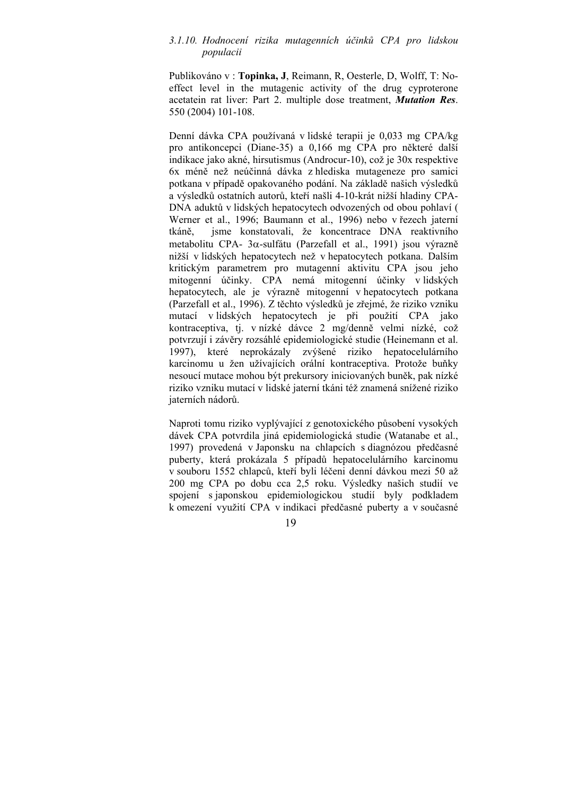#### *3.1.10. Hodnocení rizika mutagenních účinků CPA pro lidskou populacii*

Publikováno v : **Topinka, J**, Reimann, R, Oesterle, D, Wolff, T: Noeffect level in the mutagenic activity of the drug cyproterone acetatein rat liver: Part 2. multiple dose treatment, *Mutation Res*. 550 (2004) 101-108.

Denní dávka CPA používaná v lidské terapii je 0,033 mg CPA/kg pro antikoncepci (Diane-35) a 0,166 mg CPA pro některé další indikace jako akné, hirsutismus (Androcur-10), což je 30x respektive 6x méně než neúčinná dávka z hlediska mutageneze pro samici potkana v případě opakovaného podání. Na základě našich výsledků a výsledků ostatních autorů, kteří našli 4-10-krát nižší hladiny CPA-DNA aduktů v lidských hepatocytech odvozených od obou pohlaví ( Werner et al., 1996; Baumann et al., 1996) nebo v řezech jaterní tkáně, jsme konstatovali, že koncentrace DNA reaktivního metabolitu CPA- 3α-sulfátu (Parzefall et al., 1991) jsou výrazně nižší v lidských hepatocytech než v hepatocytech potkana. Dalším kritickým parametrem pro mutagenní aktivitu CPA jsou jeho mitogenní účinky. CPA nemá mitogenní účinky v lidských hepatocytech, ale je výrazně mitogenní v hepatocytech potkana (Parzefall et al., 1996). Z těchto výsledků je zřejmé, že riziko vzniku mutací v lidských hepatocytech je při použití CPA jako kontraceptiva, tj. v nízké dávce 2 mg/denně velmi nízké, což potvrzují i závěry rozsáhlé epidemiologické studie (Heinemann et al. 1997), které neprokázaly zvýšené riziko hepatocelulárního karcinomu u žen užívajících orální kontraceptiva. Protože buňky nesoucí mutace mohou být prekursory iniciovaných buněk, pak nízké riziko vzniku mutací v lidské jaterní tkáni též znamená snížené riziko jaterních nádorů.

Naproti tomu riziko vyplývající z genotoxického působení vysokých dávek CPA potvrdila jiná epidemiologická studie (Watanabe et al., 1997) provedená v Japonsku na chlapcích s diagnózou předčasné puberty, která prokázala 5 případů hepatocelulárního karcinomu v souboru 1552 chlapců, kteří byli léčeni denní dávkou mezi 50 až 200 mg CPA po dobu cca 2,5 roku. Výsledky našich studií ve spojení s japonskou epidemiologickou studií byly podkladem k omezení využití CPA v indikaci předčasné puberty a v současné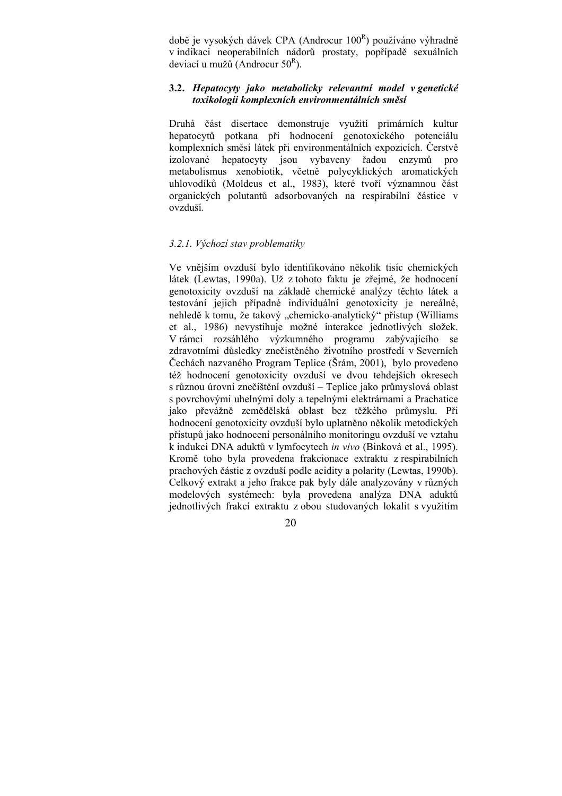době je vysokých dávek CPA (Androcur 100<sup>R</sup>) používáno výhradně v indikaci neoperabilních nádorů prostaty, popřípadě sexuálních deviací u mužů (Androcur  $50^R$ ).

## **3.2.** *Hepatocyty jako metabolicky relevantní model v genetické toxikologii komplexních environmentálních směsí*

Druhá část disertace demonstruje využití primárních kultur hepatocytů potkana při hodnocení genotoxického potenciálu komplexních směsí látek při environmentálních expozicích. Čerstvě izolované hepatocyty jsou vybaveny řadou enzymů pro metabolismus xenobiotik, včetně polycyklických aromatických uhlovodíků (Moldeus et al., 1983), které tvoří významnou část organických polutantů adsorbovaných na respirabilní částice v ovzduší.

#### *3.2.1. Výchozí stav problematiky*

Ve vnějším ovzduší bylo identifikováno několik tisíc chemických látek (Lewtas, 1990a). Už z tohoto faktu je zřejmé, že hodnocení genotoxicity ovzduší na základě chemické analýzy těchto látek a testování jejich případné individuální genotoxicity je nereálné, nehledě k tomu, že takový "chemicko-analytický" přístup (Williams et al., 1986) nevystihuje možné interakce jednotlivých složek. V rámci rozsáhlého výzkumného programu zabývajícího se zdravotními důsledky znečistěného životního prostředí v Severních Čechách nazvaného Program Teplice (Šrám, 2001), bylo provedeno též hodnocení genotoxicity ovzduší ve dvou tehdejších okresech s různou úrovní znečištění ovzduší – Teplice jako průmyslová oblast s povrchovými uhelnými doly a tepelnými elektrárnami a Prachatice jako převážně zemědělská oblast bez těžkého průmyslu. Při hodnocení genotoxicity ovzduší bylo uplatněno několik metodických přístupů jako hodnocení personálního monitoringu ovzduší ve vztahu k indukci DNA aduktů v lymfocytech *in vivo* (Binková et al., 1995). Kromě toho byla provedena frakcionace extraktu z respirabilních prachových částic z ovzduší podle acidity a polarity (Lewtas, 1990b). Celkový extrakt a jeho frakce pak byly dále analyzovány v různých modelových systémech: byla provedena analýza DNA aduktů jednotlivých frakcí extraktu z obou studovaných lokalit s využitím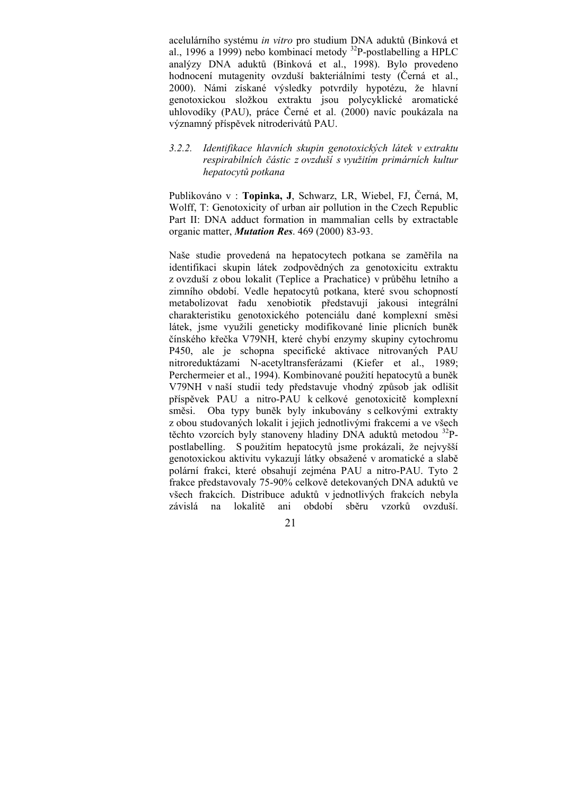acelulárního systému *in vitro* pro studium DNA aduktů (Binková et al., 1996 a 1999) nebo kombinací metody  $^{32}P$ -postlabelling a HPLC analýzy DNA aduktů (Binková et al., 1998). Bylo provedeno hodnocení mutagenity ovzduší bakteriálními testy (Černá et al., 2000). Námi získané výsledky potvrdily hypotézu, že hlavní genotoxickou složkou extraktu jsou polycyklické aromatické uhlovodíky (PAU), práce Černé et al. (2000) navíc poukázala na významný příspěvek nitroderivátů PAU.

### *3.2.2. Identifikace hlavních skupin genotoxických látek v extraktu respirabilních částic z ovzduší s využitím primárních kultur hepatocytů potkana*

Publikováno v : **Topinka, J**, Schwarz, LR, Wiebel, FJ, Černá, M, Wolff, T: Genotoxicity of urban air pollution in the Czech Republic Part II: DNA adduct formation in mammalian cells by extractable organic matter, *Mutation Res*. 469 (2000) 83-93.

Naše studie provedená na hepatocytech potkana se zaměřila na identifikaci skupin látek zodpovědných za genotoxicitu extraktu z ovzduší z obou lokalit (Teplice a Prachatice) v průběhu letního a zimního období. Vedle hepatocytů potkana, které svou schopností metabolizovat řadu xenobiotik představují jakousi integrální charakteristiku genotoxického potenciálu dané komplexní směsi látek, jsme využili geneticky modifikované linie plicních buněk čínského křečka V79NH, které chybí enzymy skupiny cytochromu P450, ale je schopna specifické aktivace nitrovaných PAU nitroreduktázami N-acetyltransferázami (Kiefer et al., 1989; Perchermeier et al., 1994). Kombinované použití hepatocytů a buněk V79NH v naší studii tedy představuje vhodný způsob jak odlišit příspěvek PAU a nitro-PAU k celkové genotoxicitě komplexní směsi. Oba typy buněk byly inkubovány s celkovými extrakty z obou studovaných lokalit i jejich jednotlivými frakcemi a ve všech těchto vzorcích byly stanoveny hladiny DNA aduktů metodou <sup>32</sup>Ppostlabelling. S použitím hepatocytů jsme prokázali, že nejvyšší genotoxickou aktivitu vykazují látky obsažené v aromatické a slabě polární frakci, které obsahují zejména PAU a nitro-PAU. Tyto 2 frakce představovaly 75-90% celkově detekovaných DNA aduktů ve všech frakcích. Distribuce aduktů v jednotlivých frakcích nebyla závislá na lokalitě ani období sběru vzorků ovzduší.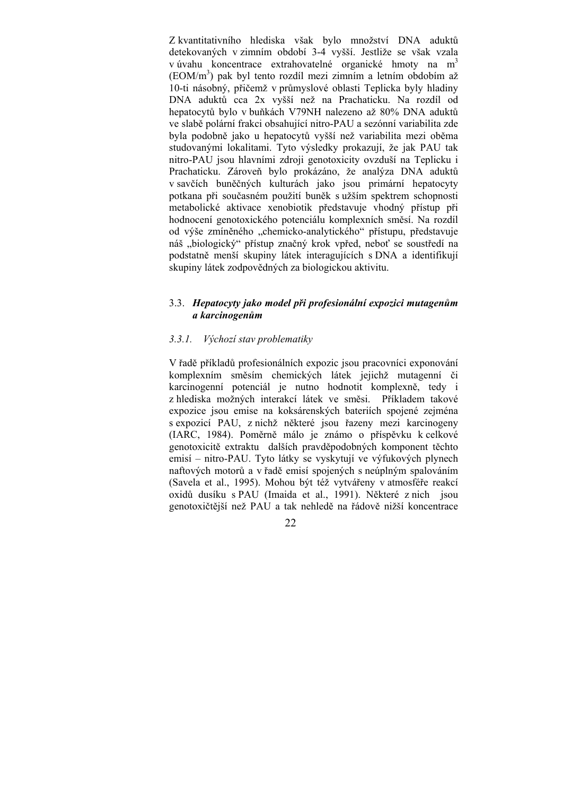Z kvantitativního hlediska však bylo množství DNA aduktů detekovaných v zimním období 3-4 vyšší. Jestliže se však vzala v úvahu koncentrace extrahovatelné organické hmoty na m<sup>3</sup> (EOM/m3 ) pak byl tento rozdíl mezi zimním a letním obdobím až 10-ti násobný, přičemž v průmyslové oblasti Teplicka byly hladiny DNA aduktů cca 2x vyšší než na Prachaticku. Na rozdíl od hepatocytů bylo v buňkách V79NH nalezeno až 80% DNA aduktů ve slabě polární frakci obsahující nitro-PAU a sezónní variabilita zde byla podobně jako u hepatocytů vyšší než variabilita mezi oběma studovanými lokalitami. Tyto výsledky prokazují, že jak PAU tak nitro-PAU jsou hlavními zdroji genotoxicity ovzduší na Teplicku i Prachaticku. Zároveň bylo prokázáno, že analýza DNA aduktů v savčích buněčných kulturách jako jsou primární hepatocyty potkana při současném použití buněk s užším spektrem schopnosti metabolické aktivace xenobiotik představuje vhodný přístup při hodnocení genotoxického potenciálu komplexních směsí. Na rozdíl od výše zmíněného "chemicko-analytického" přístupu, představuje náš "biologický" přístup značný krok vpřed, neboť se soustředí na podstatně menší skupiny látek interagujících s DNA a identifikují skupiny látek zodpovědných za biologickou aktivitu.

### 3.3. *Hepatocyty jako model při profesionální expozici mutagenům a karcinogenům*

### *3.3.1. Výchozí stav problematiky*

V řadě příkladů profesionálních expozic jsou pracovníci exponování komplexním směsím chemických látek jejichž mutagenní či karcinogenní potenciál je nutno hodnotit komplexně, tedy i z hlediska možných interakcí látek ve směsi. Příkladem takové expozice jsou emise na koksárenských bateriích spojené zejména s expozicí PAU, z nichž některé jsou řazeny mezi karcinogeny (IARC, 1984). Poměrně málo je známo o příspěvku k celkové genotoxicitě extraktu dalších pravděpodobných komponent těchto emisí – nitro-PAU. Tyto látky se vyskytují ve výfukových plynech naftových motorů a v řadě emisí spojených s neúplným spalováním (Savela et al., 1995). Mohou být též vytvářeny v atmosféře reakcí oxidů dusíku s PAU (Imaida et al., 1991). Některé z nich jsou genotoxičtější než PAU a tak nehledě na řádově nižší koncentrace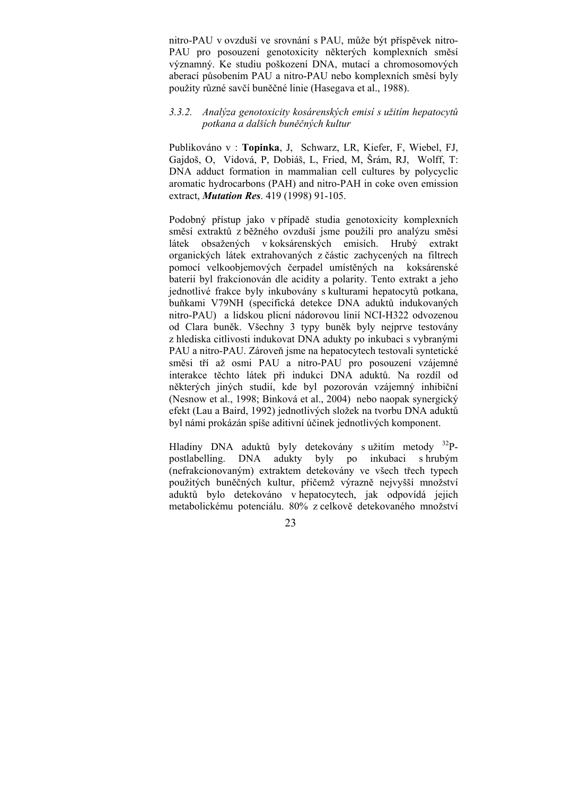nitro-PAU v ovzduší ve srovnání s PAU, může být příspěvek nitro-PAU pro posouzení genotoxicity některých komplexních směsí významný. Ke studiu poškození DNA, mutací a chromosomových aberací působením PAU a nitro-PAU nebo komplexních směsí byly použity různé savčí buněčné linie (Hasegava et al., 1988).

## *3.3.2. Analýza genotoxicity kosárenských emisí s užitím hepatocytů potkana a dalších buněčných kultur*

Publikováno v : **Topinka**, J, Schwarz, LR, Kiefer, F, Wiebel, FJ, Gajdoš, O, Vidová, P, Dobiáš, L, Fried, M, Šrám, RJ, Wolff, T: DNA adduct formation in mammalian cell cultures by polycyclic aromatic hydrocarbons (PAH) and nitro-PAH in coke oven emission extract, *Mutation Res*. 419 (1998) 91-105.

Podobný přístup jako v případě studia genotoxicity komplexních směsí extraktů z běžného ovzduší jsme použili pro analýzu směsi látek obsažených v koksárenských emisích. Hrubý extrakt organických látek extrahovaných z částic zachycených na filtrech pomocí velkoobjemových čerpadel umístěných na koksárenské baterii byl frakcionován dle acidity a polarity. Tento extrakt a jeho jednotlivé frakce byly inkubovány s kulturami hepatocytů potkana, buňkami V79NH (specifická detekce DNA aduktů indukovaných nitro-PAU) a lidskou plicní nádorovou linií NCI-H322 odvozenou od Clara buněk. Všechny 3 typy buněk byly nejprve testovány z hlediska citlivosti indukovat DNA adukty po inkubaci s vybranými PAU a nitro-PAU. Zároveň jsme na hepatocytech testovali syntetické směsi tří až osmi PAU a nitro-PAU pro posouzení vzájemné interakce těchto látek při indukci DNA aduktů. Na rozdíl od některých jiných studií, kde byl pozorován vzájemný inhibiční (Nesnow et al., 1998; Binková et al., 2004) nebo naopak synergický efekt (Lau a Baird, 1992) jednotlivých složek na tvorbu DNA aduktů byl námi prokázán spíše aditivní účinek jednotlivých komponent.

Hladiny DNA aduktů byly detekovány s užitím metody <sup>32</sup>Ppostlabelling. DNA adukty byly po inkubaci s hrubým (nefrakcionovaným) extraktem detekovány ve všech třech typech použitých buněčných kultur, přičemž výrazně nejvyšší množství aduktů bylo detekováno v hepatocytech, jak odpovídá jejich metabolickému potenciálu. 80% z celkově detekovaného množství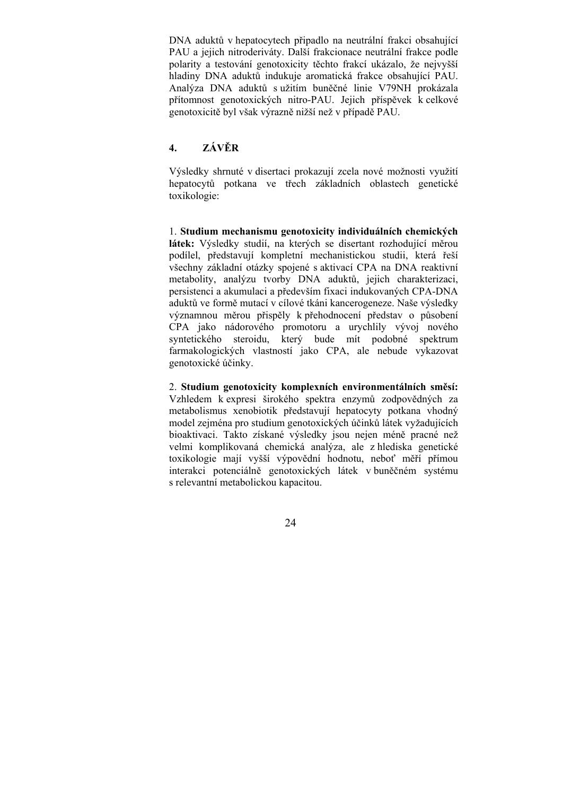DNA aduktů v hepatocytech připadlo na neutrální frakci obsahující PAU a jejich nitroderiváty. Další frakcionace neutrální frakce podle polarity a testování genotoxicity těchto frakcí ukázalo, že nejvyšší hladiny DNA aduktů indukuje aromatická frakce obsahující PAU. Analýza DNA aduktů s užitím buněčné linie V79NH prokázala přítomnost genotoxických nitro-PAU. Jejich příspěvek k celkové genotoxicitě byl však výrazně nižší než v případě PAU.

## **4. ZÁVĚR**

Výsledky shrnuté v disertaci prokazují zcela nové možnosti využití hepatocytů potkana ve třech základních oblastech genetické toxikologie:

1. **Studium mechanismu genotoxicity individuálních chemických látek:** Výsledky studií, na kterých se disertant rozhodující měrou podílel, představují kompletní mechanistickou studii, která řeší všechny základní otázky spojené s aktivací CPA na DNA reaktivní metabolity, analýzu tvorby DNA aduktů, jejich charakterizaci, persistenci a akumulaci a především fixaci indukovaných CPA-DNA aduktů ve formě mutací v cílové tkáni kancerogeneze. Naše výsledky významnou měrou přispěly k přehodnocení představ o působení CPA jako nádorového promotoru a urychlily vývoj nového syntetického steroidu, který bude mít podobné spektrum farmakologických vlastností jako CPA, ale nebude vykazovat genotoxické účinky.

## 2. **Studium genotoxicity komplexních environmentálních směsí:**

Vzhledem k expresi širokého spektra enzymů zodpovědných za metabolismus xenobiotik představují hepatocyty potkana vhodný model zejména pro studium genotoxických účinků látek vyžadujících bioaktivaci. Takto získané výsledky jsou nejen méně pracné než velmi komplikovaná chemická analýza, ale z hlediska genetické toxikologie mají vyšší výpovědní hodnotu, neboť měří přímou interakci potenciálně genotoxických látek v buněčném systému s relevantní metabolickou kapacitou.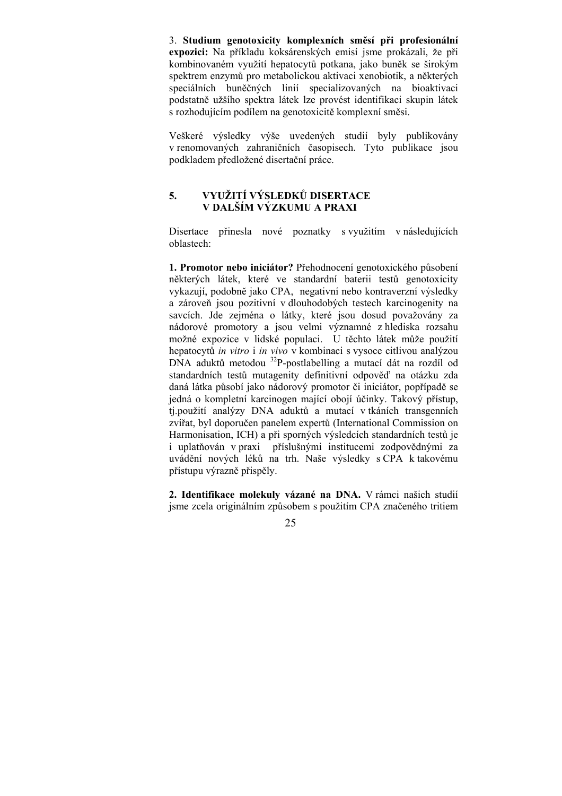3. **Studium genotoxicity komplexních směsí při profesionální expozici:** Na příkladu koksárenských emisí jsme prokázali, že při kombinovaném využití hepatocytů potkana, jako buněk se širokým spektrem enzymů pro metabolickou aktivaci xenobiotik, a některých speciálních buněčných linií specializovaných na bioaktivaci podstatně užšího spektra látek lze provést identifikaci skupin látek s rozhodujícím podílem na genotoxicitě komplexní směsi.

Veškeré výsledky výše uvedených studií byly publikovány v renomovaných zahraničních časopisech. Tyto publikace jsou podkladem předložené disertační práce.

# **5. VYUŽITÍ VÝSLEDKŮ DISERTACE V DALŠÍM VÝZKUMU A PRAXI**

Disertace přinesla nové poznatky s využitím v následujících oblastech:

**1. Promotor nebo iniciátor?** Přehodnocení genotoxického působení některých látek, které ve standardní baterii testů genotoxicity vykazují, podobně jako CPA, negativní nebo kontraverzní výsledky a zároveň jsou pozitivní v dlouhodobých testech karcinogenity na savcích. Jde zejména o látky, které jsou dosud považovány za nádorové promotory a jsou velmi významné z hlediska rozsahu možné expozice v lidské populaci. U těchto látek může použití hepatocytů *in vitro* i *in vivo* v kombinaci s vysoce citlivou analýzou DNA aduktů metodou 32P-postlabelling a mutací dát na rozdíl od standardních testů mutagenity definitivní odpověď na otázku zda daná látka působí jako nádorový promotor či iniciátor, popřípadě se jedná o kompletní karcinogen mající obojí účinky. Takový přístup, ti.použití analýzy DNA aduktů a mutací v tkáních transgenních zvířat, byl doporučen panelem expertů (International Commission on Harmonisation, ICH) a při sporných výsledcích standardních testů je i uplatňován v praxi příslušnými institucemi zodpovědnými za uvádění nových léků na trh. Naše výsledky s CPA k takovému přístupu výrazně přispěly.

**2. Identifikace molekuly vázané na DNA.** V rámci našich studií jsme zcela originálním způsobem s použitím CPA značeného tritiem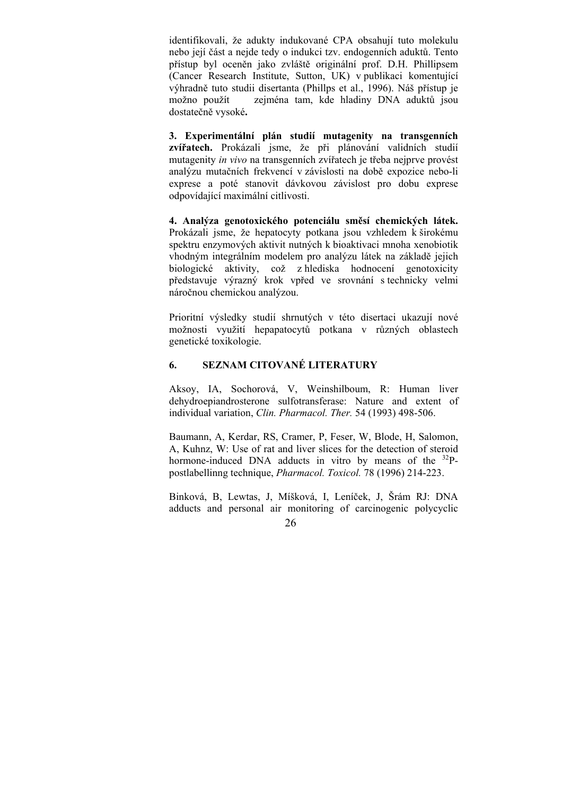identifikovali, že adukty indukované CPA obsahují tuto molekulu nebo její část a nejde tedy o indukci tzv. endogenních aduktů. Tento přístup byl oceněn jako zvláště originální prof. D.H. Phillipsem (Cancer Research Institute, Sutton, UK) v publikaci komentující výhradně tuto studii disertanta (Phillps et al., 1996). Náš přístup je možno použít zejména tam, kde hladiny DNA aduktů jsou dostatečně vysoké**.**

**3. Experimentální plán studií mutagenity na transgenních zvířatech.** Prokázali jsme, že při plánování validních studií mutagenity *in vivo* na transgenních zvířatech je třeba nejprve provést analýzu mutačních frekvencí v závislosti na době expozice nebo-li exprese a poté stanovit dávkovou závislost pro dobu exprese odpovídající maximální citlivosti.

**4. Analýza genotoxického potenciálu směsí chemických látek.** Prokázali jsme, že hepatocyty potkana jsou vzhledem k širokému spektru enzymových aktivit nutných k bioaktivaci mnoha xenobiotik vhodným integrálním modelem pro analýzu látek na základě jejich biologické aktivity, což z hlediska hodnocení genotoxicity představuje výrazný krok vpřed ve srovnání s technicky velmi náročnou chemickou analýzou.

Prioritní výsledky studií shrnutých v této disertaci ukazují nové možnosti využití hepapatocytů potkana v různých oblastech genetické toxikologie.

## **6. SEZNAM CITOVANÉ LITERATURY**

Aksoy, IA, Sochorová, V, Weinshilboum, R: Human liver dehydroepiandrosterone sulfotransferase: Nature and extent of individual variation, *Clin. Pharmacol. Ther.* 54 (1993) 498-506.

Baumann, A, Kerdar, RS, Cramer, P, Feser, W, Blode, H, Salomon, A, Kuhnz, W: Use of rat and liver slices for the detection of steroid hormone-induced DNA adducts in vitro by means of the <sup>32</sup>Ppostlabellinng technique, *Pharmacol. Toxicol.* 78 (1996) 214-223.

Binková, B, Lewtas, J, Míšková, I, Leníček, J, Šrám RJ: DNA adducts and personal air monitoring of carcinogenic polycyclic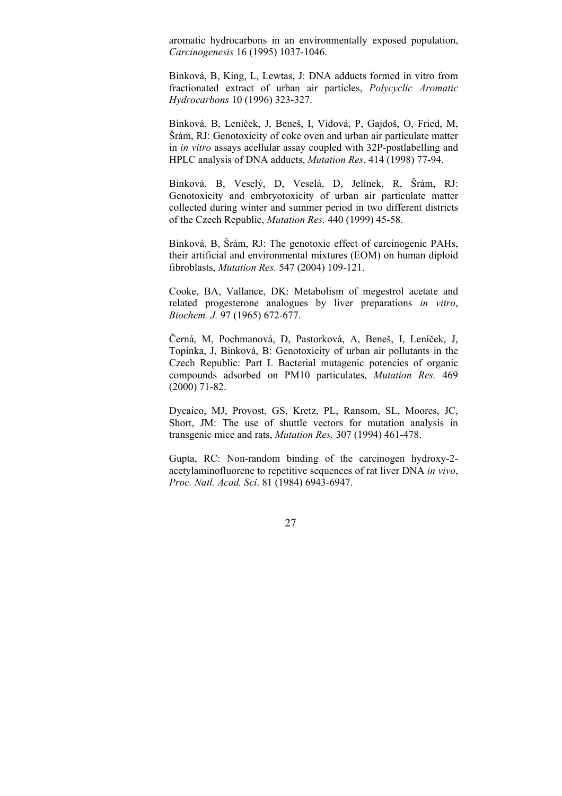aromatic hydrocarbons in an environmentally exposed population, *Carcinogenesis* 16 (1995) 1037-1046.

Binková, B, King, L, Lewtas, J: DNA adducts formed in vitro from fractionated extract of urban air particles, *Polycyclic Aromatic Hydrocarbons* 10 (1996) 323-327.

Binková, B, Leníček, J, Beneš, I, Vidová, P, Gajdoš, O, Fried, M, Šrám, RJ: Genotoxicity of coke oven and urban air particulate matter in *in vitro* assays acellular assay coupled with 32P-postlabelling and HPLC analysis of DNA adducts, *Mutation Res*. 414 (1998) 77-94.

Binková, B, Veselý, D, Veselá, D, Jelínek, R, Šrám, RJ: Genotoxicity and embryotoxicity of urban air particulate matter collected during winter and summer period in two different districts of the Czech Republic, *Mutation Res.* 440 (1999) 45-58.

Binková, B, Šrám, RJ: The genotoxic effect of carcinogenic PAHs, their artificial and environmental mixtures (EOM) on human diploid fibroblasts, *Mutation Res.* 547 (2004) 109-121.

Cooke, BA, Vallance, DK: Metabolism of megestrol acetate and related progesterone analogues by liver preparations *in vitro*, *Biochem. J.* 97 (1965) 672-677.

Černá, M, Pochmanová, D, Pastorková, A, Beneš, I, Leníček, J, Topinka, J, Binková, B: Genotoxicity of urban air pollutants in the Czech Republic: Part I. Bacterial mutagenic potencies of organic compounds adsorbed on PM10 particulates, *Mutation Res.* 469 (2000) 71-82.

Dycaico, MJ, Provost, GS, Kretz, PL, Ransom, SL, Moores, JC, Short, JM: The use of shuttle vectors for mutation analysis in transgenic mice and rats, *Mutation Res.* 307 (1994) 461-478.

Gupta, RC: Non-random binding of the carcinogen hydroxy-2 acetylaminofluorene to repetitive sequences of rat liver DNA *in vivo*, *Proc. Natl. Acad. Sci*. 81 (1984) 6943-6947.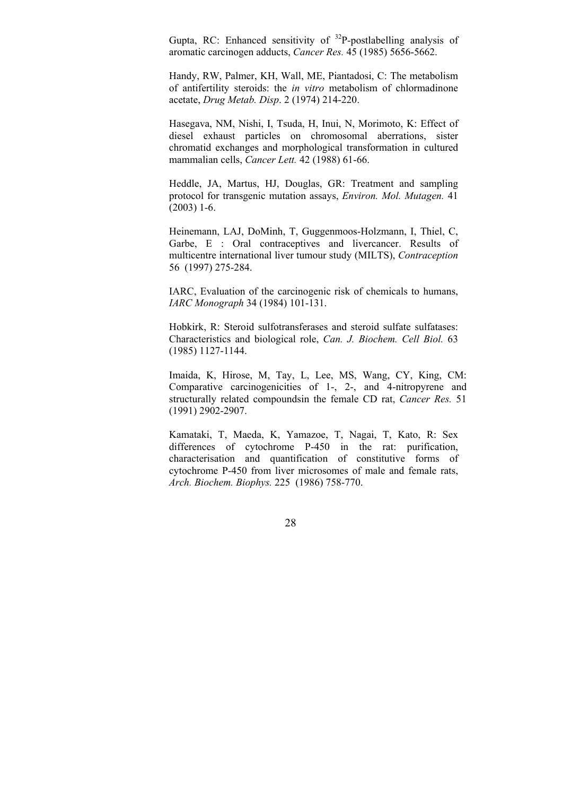Gupta, RC: Enhanced sensitivity of  $^{32}P$ -postlabelling analysis of aromatic carcinogen adducts, *Cancer Res.* 45 (1985) 5656-5662.

Handy, RW, Palmer, KH, Wall, ME, Piantadosi, C: The metabolism of antifertility steroids: the *in vitro* metabolism of chlormadinone acetate, *Drug Metab. Disp*. 2 (1974) 214-220.

Hasegava, NM, Nishi, I, Tsuda, H, Inui, N, Morimoto, K: Effect of diesel exhaust particles on chromosomal aberrations, sister chromatid exchanges and morphological transformation in cultured mammalian cells, *Cancer Lett.* 42 (1988) 61-66.

Heddle, JA, Martus, HJ, Douglas, GR: Treatment and sampling protocol for transgenic mutation assays, *Environ. Mol. Mutagen.* 41  $(2003)$  1-6.

Heinemann, LAJ, DoMinh, T, Guggenmoos-Holzmann, I, Thiel, C, Garbe, E : Oral contraceptives and livercancer. Results of multicentre international liver tumour study (MILTS), *Contraception* 56 (1997) 275-284.

IARC, Evaluation of the carcinogenic risk of chemicals to humans, *IARC Monograph* 34 (1984) 101-131.

Hobkirk, R: Steroid sulfotransferases and steroid sulfate sulfatases: Characteristics and biological role, *Can. J. Biochem. Cell Biol.* 63 (1985) 1127-1144.

Imaida, K, Hirose, M, Tay, L, Lee, MS, Wang, CY, King, CM: Comparative carcinogenicities of 1-, 2-, and 4-nitropyrene and structurally related compoundsin the female CD rat, *Cancer Res.* 51 (1991) 2902-2907.

Kamataki, T, Maeda, K, Yamazoe, T, Nagai, T, Kato, R: Sex differences of cytochrome P-450 in the rat: purification, characterisation and quantification of constitutive forms of cytochrome P-450 from liver microsomes of male and female rats, *Arch. Biochem. Biophys.* 225 (1986) 758-770.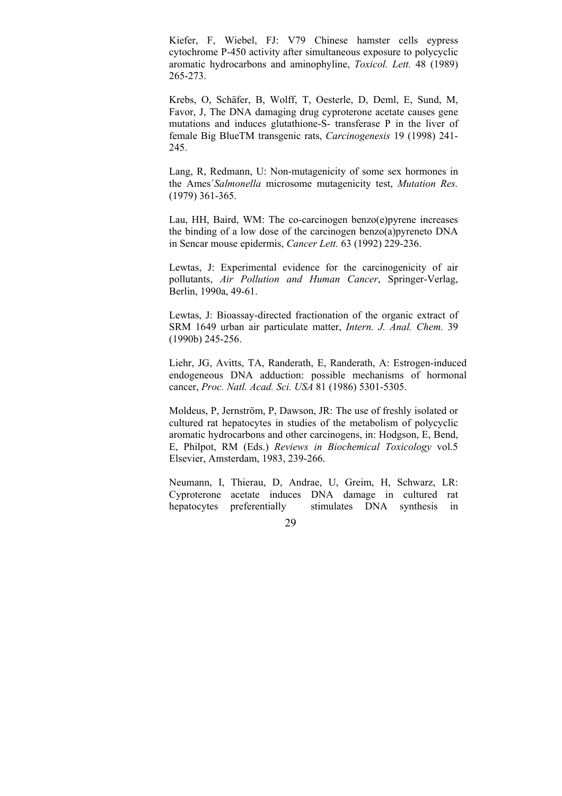Kiefer, F, Wiebel, FJ: V79 Chinese hamster cells eypress cytochrome P-450 activity after simultaneous exposure to polycyclic aromatic hydrocarbons and aminophyline, *Toxicol. Lett.* 48 (1989) 265-273.

Krebs, O, Schäfer, B, Wolff, T, Oesterle, D, Deml, E, Sund, M, Favor, J, The DNA damaging drug cyproterone acetate causes gene mutations and induces glutathione-S- transferase P in the liver of female Big BlueTM transgenic rats, *Carcinogenesis* 19 (1998) 241- 245.

Lang, R, Redmann, U: Non-mutagenicity of some sex hormones in the Ames´*Salmonella* microsome mutagenicity test, *Mutation Res.* (1979) 361-365.

Lau, HH, Baird, WM: The co-carcinogen benzo(e)pyrene increases the binding of a low dose of the carcinogen benzo(a)pyreneto DNA in Sencar mouse epidermis, *Cancer Lett.* 63 (1992) 229-236.

Lewtas, J: Experimental evidence for the carcinogenicity of air pollutants, *Air Pollution and Human Cancer*, Springer-Verlag, Berlin, 1990a, 49-61.

Lewtas, J: Bioassay-directed fractionation of the organic extract of SRM 1649 urban air particulate matter, *Intern. J. Anal. Chem.* 39 (1990b) 245-256.

Liehr, JG, Avitts, TA, Randerath, E, Randerath, A: Estrogen-induced endogeneous DNA adduction: possible mechanisms of hormonal cancer, *Proc. Natl. Acad. Sci. USA* 81 (1986) 5301-5305.

Moldeus, P, Jernström, P, Dawson, JR: The use of freshly isolated or cultured rat hepatocytes in studies of the metabolism of polycyclic aromatic hydrocarbons and other carcinogens, in: Hodgson, E, Bend, E, Philpot, RM (Eds.) *Reviews in Biochemical Toxicology* vol.5 Elsevier, Amsterdam, 1983, 239-266.

Neumann, I, Thierau, D, Andrae, U, Greim, H, Schwarz, LR: Cyproterone acetate induces DNA damage in cultured rat hepatocytes preferentially stimulates DNA synthesis in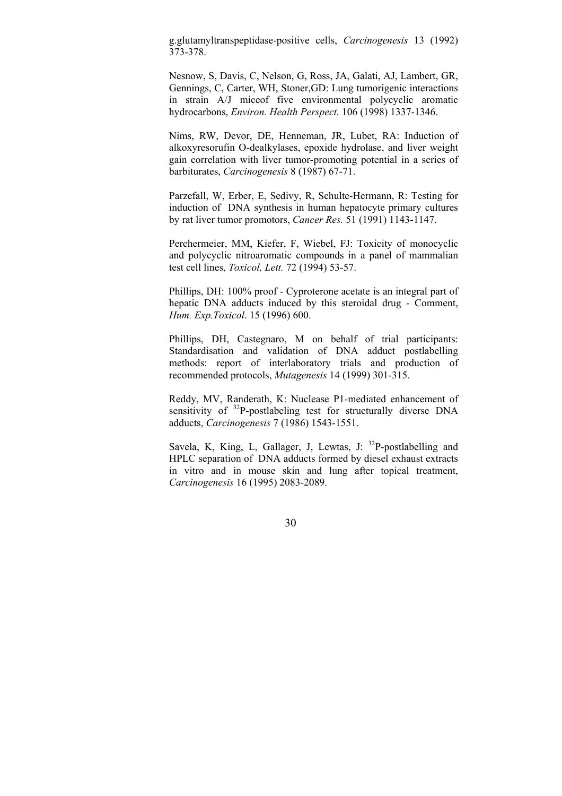g.glutamyltranspeptidase-positive cells, *Carcinogenesis* 13 (1992) 373-378.

Nesnow, S, Davis, C, Nelson, G, Ross, JA, Galati, AJ, Lambert, GR, Gennings, C, Carter, WH, Stoner,GD: Lung tumorigenic interactions in strain A/J miceof five environmental polycyclic aromatic hydrocarbons, *Environ. Health Perspect.* 106 (1998) 1337-1346.

Nims, RW, Devor, DE, Henneman, JR, Lubet, RA: Induction of alkoxyresorufin O-dealkylases, epoxide hydrolase, and liver weight gain correlation with liver tumor-promoting potential in a series of barbiturates, *Carcinogenesis* 8 (1987) 67-71.

Parzefall, W, Erber, E, Sedivy, R, Schulte-Hermann, R: Testing for induction of DNA synthesis in human hepatocyte primary cultures by rat liver tumor promotors, *Cancer Res.* 51 (1991) 1143-1147.

Perchermeier, MM, Kiefer, F, Wiebel, FJ: Toxicity of monocyclic and polycyclic nitroaromatic compounds in a panel of mammalian test cell lines, *Toxicol, Lett.* 72 (1994) 53-57.

Phillips, DH: 100% proof - Cyproterone acetate is an integral part of hepatic DNA adducts induced by this steroidal drug - Comment, *Hum. Exp.Toxicol*. 15 (1996) 600.

Phillips, DH, Castegnaro, M on behalf of trial participants: Standardisation and validation of DNA adduct postlabelling methods: report of interlaboratory trials and production of recommended protocols, *Mutagenesis* 14 (1999) 301-315.

Reddy, MV, Randerath, K: Nuclease P1-mediated enhancement of sensitivity of <sup>32</sup>P-postlabeling test for structurally diverse DNA adducts, *Carcinogenesis* 7 (1986) 1543-1551.

Savela, K, King, L, Gallager, J, Lewtas, J:  $32P$ -postlabelling and HPLC separation of DNA adducts formed by diesel exhaust extracts in vitro and in mouse skin and lung after topical treatment, *Carcinogenesis* 16 (1995) 2083-2089.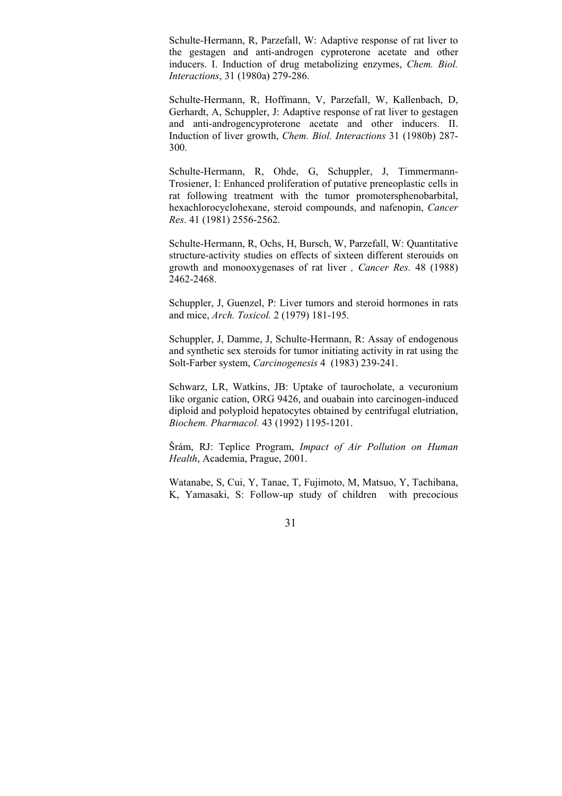Schulte-Hermann, R, Parzefall, W: Adaptive response of rat liver to the gestagen and anti-androgen cyproterone acetate and other inducers. I. Induction of drug metabolizing enzymes, *Chem. Biol. Interactions*, 31 (1980a) 279-286.

Schulte-Hermann, R, Hoffmann, V, Parzefall, W, Kallenbach, D, Gerhardt, A, Schuppler, J: Adaptive response of rat liver to gestagen and anti-androgencyproterone acetate and other inducers. II. Induction of liver growth, *Chem. Biol. Interactions* 31 (1980b) 287- 300.

Schulte-Hermann, R, Ohde, G, Schuppler, J, Timmermann-Trosiener, I: Enhanced proliferation of putative preneoplastic cells in rat following treatment with the tumor promotersphenobarbital, hexachlorocyclohexane, steroid compounds, and nafenopin, *Cancer Res*. 41 (1981) 2556-2562.

Schulte-Hermann, R, Ochs, H, Bursch, W, Parzefall, W: Quantitative structure-activity studies on effects of sixteen different sterouids on growth and monooxygenases of rat liver *, Cancer Res.* 48 (1988) 2462-2468.

Schuppler, J, Guenzel, P: Liver tumors and steroid hormones in rats and mice, *Arch. Toxicol.* 2 (1979) 181-195.

Schuppler, J, Damme, J, Schulte-Hermann, R: Assay of endogenous and synthetic sex steroids for tumor initiating activity in rat using the Solt-Farber system, *Carcinogenesis* 4 (1983) 239-241.

Schwarz, LR, Watkins, JB: Uptake of taurocholate, a vecuronium like organic cation, ORG 9426, and ouabain into carcinogen-induced diploid and polyploid hepatocytes obtained by centrifugal elutriation, *Biochem. Pharmacol.* 43 (1992) 1195-1201.

Šrám, RJ: Teplice Program, *Impact of Air Pollution on Human Health*, Academia, Prague, 2001.

Watanabe, S, Cui, Y, Tanae, T, Fujimoto, M, Matsuo, Y, Tachibana, K, Yamasaki, S: Follow-up study of children with precocious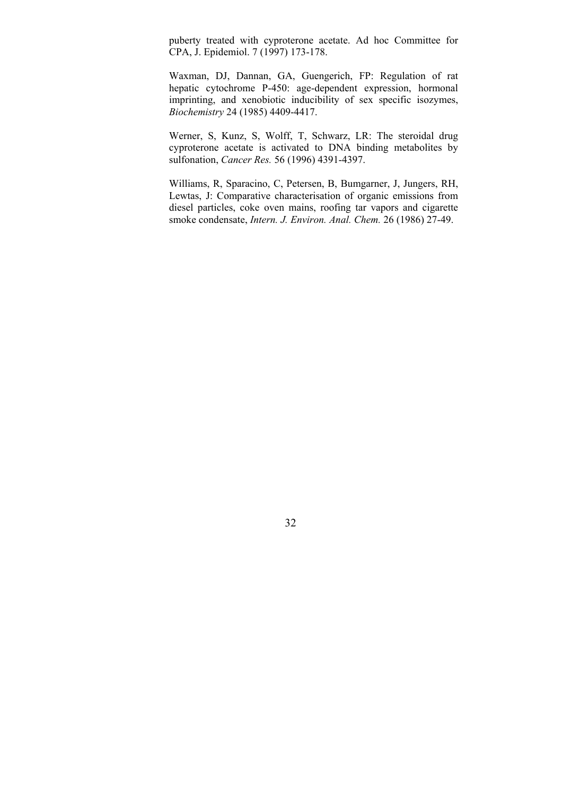puberty treated with cyproterone acetate. Ad hoc Committee for CPA, J. Epidemiol. 7 (1997) 173-178.

Waxman, DJ, Dannan, GA, Guengerich, FP: Regulation of rat hepatic cytochrome P-450: age-dependent expression, hormonal imprinting, and xenobiotic inducibility of sex specific isozymes, *Biochemistry* 24 (1985) 4409-4417.

Werner, S, Kunz, S, Wolff, T, Schwarz, LR: The steroidal drug cyproterone acetate is activated to DNA binding metabolites by sulfonation, *Cancer Res.* 56 (1996) 4391-4397.

Williams, R, Sparacino, C, Petersen, B, Bumgarner, J, Jungers, RH, Lewtas, J: Comparative characterisation of organic emissions from diesel particles, coke oven mains, roofing tar vapors and cigarette smoke condensate, *Intern. J. Environ. Anal. Chem.* 26 (1986) 27-49.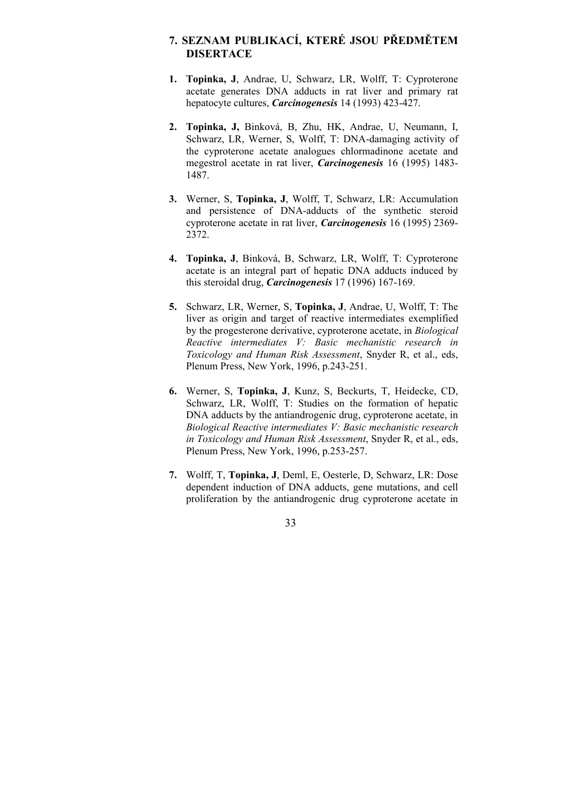# **7. SEZNAM PUBLIKACÍ, KTERÉ JSOU PŘEDMĚTEM DISERTACE**

- **1. Topinka, J**, Andrae, U, Schwarz, LR, Wolff, T: Cyproterone acetate generates DNA adducts in rat liver and primary rat hepatocyte cultures, *Carcinogenesis* 14 (1993) 423-427.
- **2. Topinka, J,** Binková, B, Zhu, HK, Andrae, U, Neumann, I, Schwarz, LR, Werner, S, Wolff, T: DNA-damaging activity of the cyproterone acetate analogues chlormadinone acetate and megestrol acetate in rat liver, *Carcinogenesis* 16 (1995) 1483- 1487.
- **3.** Werner, S, **Topinka, J**, Wolff, T, Schwarz, LR: Accumulation and persistence of DNA-adducts of the synthetic steroid cyproterone acetate in rat liver, *Carcinogenesis* 16 (1995) 2369- 2372.
- **4. Topinka, J**, Binková, B, Schwarz, LR, Wolff, T: Cyproterone acetate is an integral part of hepatic DNA adducts induced by this steroidal drug, *Carcinogenesis* 17 (1996) 167-169.
- **5.** Schwarz, LR, Werner, S, **Topinka, J**, Andrae, U, Wolff, T: The liver as origin and target of reactive intermediates exemplified by the progesterone derivative, cyproterone acetate, in *Biological Reactive intermediates V: Basic mechanistic research in Toxicology and Human Risk Assessment*, Snyder R, et al., eds, Plenum Press, New York, 1996, p.243-251.
- **6.** Werner, S, **Topinka, J**, Kunz, S, Beckurts, T, Heidecke, CD, Schwarz, LR, Wolff, T: Studies on the formation of hepatic DNA adducts by the antiandrogenic drug, cyproterone acetate, in *Biological Reactive intermediates V: Basic mechanistic research in Toxicology and Human Risk Assessment*, Snyder R, et al., eds, Plenum Press, New York, 1996, p.253-257.
- **7.** Wolff, T, **Topinka, J**, Deml, E, Oesterle, D, Schwarz, LR: Dose dependent induction of DNA adducts, gene mutations, and cell proliferation by the antiandrogenic drug cyproterone acetate in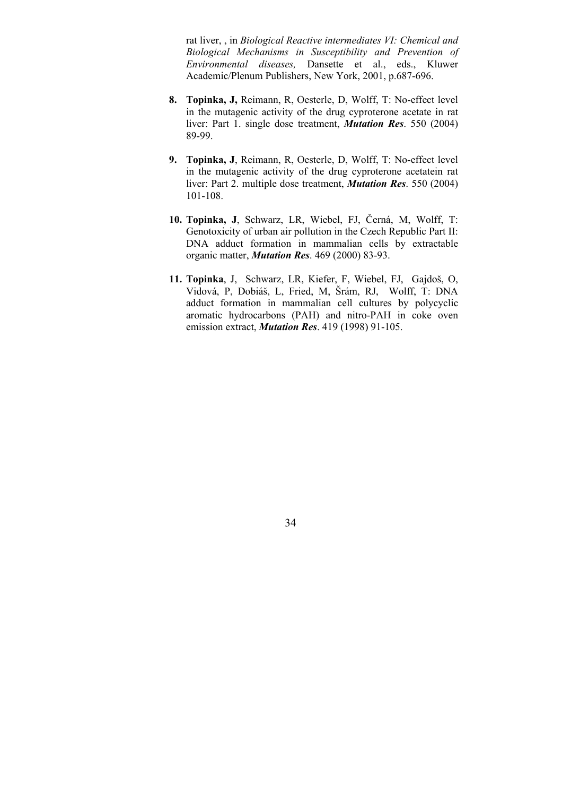rat liver, , in *Biological Reactive intermediates VI: Chemical and Biological Mechanisms in Susceptibility and Prevention of Environmental diseases,* Dansette et al., eds., Kluwer Academic/Plenum Publishers, New York, 2001, p.687-696.

- **8. Topinka, J,** Reimann, R, Oesterle, D, Wolff, T: No-effect level in the mutagenic activity of the drug cyproterone acetate in rat liver: Part 1. single dose treatment, *Mutation Res*. 550 (2004) 89-99.
- **9. Topinka, J**, Reimann, R, Oesterle, D, Wolff, T: No-effect level in the mutagenic activity of the drug cyproterone acetatein rat liver: Part 2. multiple dose treatment, *Mutation Res*. 550 (2004) 101-108.
- **10. Topinka, J**, Schwarz, LR, Wiebel, FJ, Černá, M, Wolff, T: Genotoxicity of urban air pollution in the Czech Republic Part II: DNA adduct formation in mammalian cells by extractable organic matter, *Mutation Res*. 469 (2000) 83-93.
- **11. Topinka**, J, Schwarz, LR, Kiefer, F, Wiebel, FJ, Gajdoš, O, Vidová, P, Dobiáš, L, Fried, M, Šrám, RJ, Wolff, T: DNA adduct formation in mammalian cell cultures by polycyclic aromatic hydrocarbons (PAH) and nitro-PAH in coke oven emission extract, *Mutation Res*. 419 (1998) 91-105.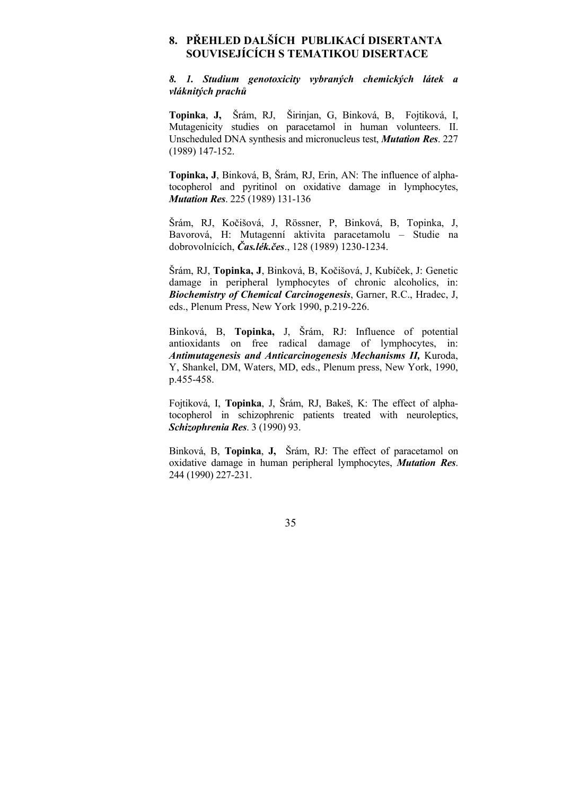# **8. PŘEHLED DALŠÍCH PUBLIKACÍ DISERTANTA SOUVISEJÍCÍCH S TEMATIKOU DISERTACE**

*8. 1. Studium genotoxicity vybraných chemických látek a vláknitých prachů*

**Topinka**, **J,** Šrám, RJ, Širinjan, G, Binková, B, Fojtiková, I, Mutagenicity studies on paracetamol in human volunteers. II. Unscheduled DNA synthesis and micronucleus test, *Mutation Res*. 227 (1989) 147-152.

**Topinka, J**, Binková, B, Šrám, RJ, Erin, AN: The influence of alphatocopherol and pyritinol on oxidative damage in lymphocytes, *Mutation Res*. 225 (1989) 131-136

Šrám, RJ, Kočišová, J, Rössner, P, Binková, B, Topinka, J, Bavorová, H: Mutagenní aktivita paracetamolu – Studie na dobrovolnících, *Čas.lék.čes*., 128 (1989) 1230-1234.

Šrám, RJ, **Topinka, J**, Binková, B, Kočišová, J, Kubíček, J: Genetic damage in peripheral lymphocytes of chronic alcoholics, in: *Biochemistry of Chemical Carcinogenesis*, Garner, R.C., Hradec, J, eds., Plenum Press, New York 1990, p.219-226.

Binková, B, **Topinka,** J, Šrám, RJ: Influence of potential antioxidants on free radical damage of lymphocytes, in: *Antimutagenesis and Anticarcinogenesis Mechanisms II,* Kuroda, Y, Shankel, DM, Waters, MD, eds., Plenum press, New York, 1990, p.455-458.

Fojtiková, I, **Topinka**, J, Šrám, RJ, Bakeš, K: The effect of alphatocopherol in schizophrenic patients treated with neuroleptics, *Schizophrenia Res*. 3 (1990) 93.

Binková, B, **Topinka**, **J,** Šrám, RJ: The effect of paracetamol on oxidative damage in human peripheral lymphocytes, *Mutation Res*. 244 (1990) 227-231.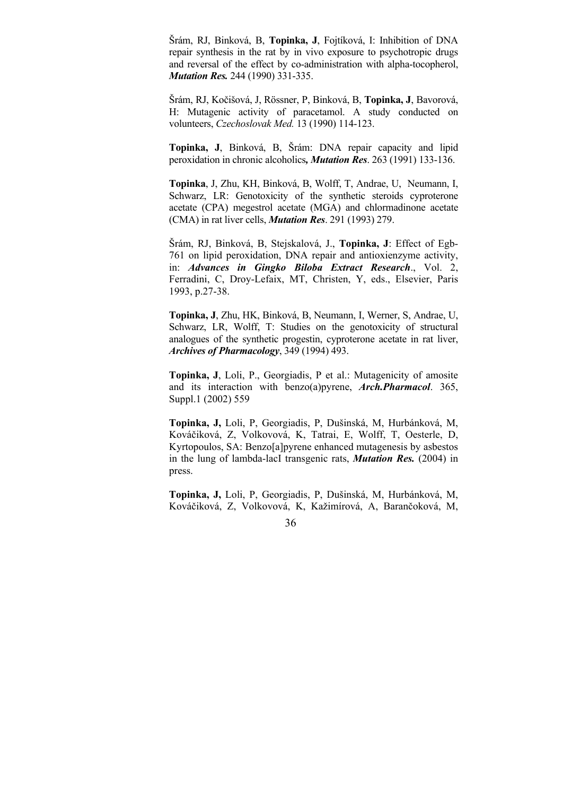Šrám, RJ, Binková, B, **Topinka, J**, Fojtíková, I: Inhibition of DNA repair synthesis in the rat by in vivo exposure to psychotropic drugs and reversal of the effect by co-administration with alpha-tocopherol, *Mutation Res.* 244 (1990) 331-335.

Šrám, RJ, Kočišová, J, Rössner, P, Binková, B, **Topinka, J**, Bavorová, H: Mutagenic activity of paracetamol. A study conducted on volunteers, *Czechoslovak Med.* 13 (1990) 114-123.

**Topinka, J**, Binková, B, Šrám: DNA repair capacity and lipid peroxidation in chronic alcoholics*, Mutation Res*. 263 (1991) 133-136.

**Topinka**, J, Zhu, KH, Binková, B, Wolff, T, Andrae, U, Neumann, I, Schwarz, LR: Genotoxicity of the synthetic steroids cyproterone acetate (CPA) megestrol acetate (MGA) and chlormadinone acetate (CMA) in rat liver cells, *Mutation Res*. 291 (1993) 279.

Šrám, RJ, Binková, B, Stejskalová, J., **Topinka, J**: Effect of Egb-761 on lipid peroxidation, DNA repair and antioxienzyme activity, in: *Advances in Gingko Biloba Extract Research*., Vol. 2, Ferradini, C, Droy-Lefaix, MT, Christen, Y, eds., Elsevier, Paris 1993, p.27-38.

**Topinka, J**, Zhu, HK, Binková, B, Neumann, I, Werner, S, Andrae, U, Schwarz, LR, Wolff, T: Studies on the genotoxicity of structural analogues of the synthetic progestin, cyproterone acetate in rat liver, *Archives of Pharmacology*, 349 (1994) 493.

**Topinka, J**, Loli, P., Georgiadis, P et al.: Mutagenicity of amosite and its interaction with benzo(a)pyrene, *Arch.Pharmacol*. 365, Suppl.1 (2002) 559

**Topinka, J,** Loli, P, Georgiadis, P, Dušinská, M, Hurbánková, M, Kováčiková, Z, Volkovová, K, Tatrai, E, Wolff, T, Oesterle, D, Kyrtopoulos, SA: Benzo[a]pyrene enhanced mutagenesis by asbestos in the lung of lambda-lacI transgenic rats, *Mutation Res.* (2004) in press.

**Topinka, J,** Loli, P, Georgiadis, P, Dušinská, M, Hurbánková, M, Kováčiková, Z, Volkovová, K, Kažimírová, A, Barančoková, M,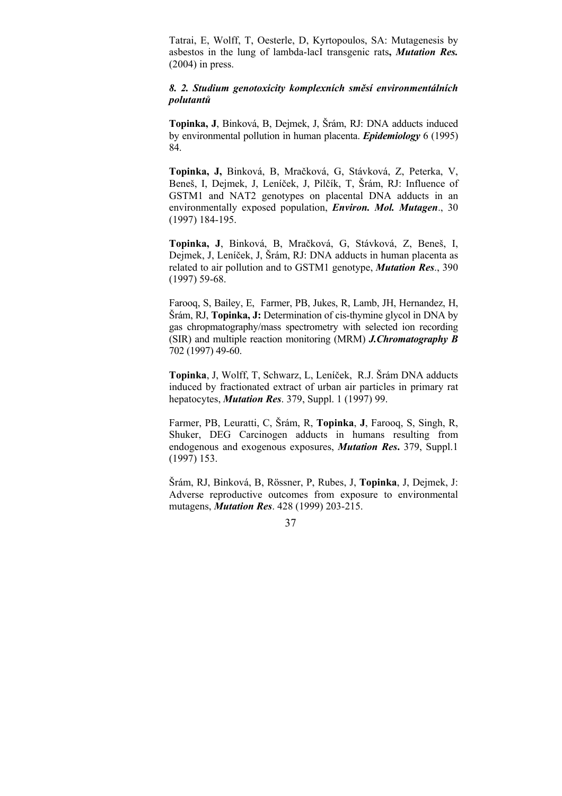Tatrai, E, Wolff, T, Oesterle, D, Kyrtopoulos, SA: Mutagenesis by asbestos in the lung of lambda-lacI transgenic rats**,** *Mutation Res.* (2004) in press.

## *8. 2. Studium genotoxicity komplexních směsí environmentálních polutantů*

**Topinka, J**, Binková, B, Dejmek, J, Šrám, RJ: DNA adducts induced by environmental pollution in human placenta. *Epidemiology* 6 (1995) 84.

**Topinka, J,** Binková, B, Mračková, G, Stávková, Z, Peterka, V, Beneš, I, Dejmek, J, Leníček, J, Pilčík, T, Šrám, RJ: Influence of GSTM1 and NAT2 genotypes on placental DNA adducts in an environmentally exposed population, *Environ. Mol. Mutagen*., 30 (1997) 184-195.

**Topinka, J**, Binková, B, Mračková, G, Stávková, Z, Beneš, I, Dejmek, J, Leníček, J, Šrám, RJ: DNA adducts in human placenta as related to air pollution and to GSTM1 genotype, *Mutation Res*., 390 (1997) 59-68.

Farooq, S, Bailey, E, Farmer, PB, Jukes, R, Lamb, JH, Hernandez, H, Šrám, RJ, **Topinka, J:** Determination of cis-thymine glycol in DNA by gas chropmatography/mass spectrometry with selected ion recording (SIR) and multiple reaction monitoring (MRM) *J.Chromatography B* 702 (1997) 49-60.

**Topinka**, J, Wolff, T, Schwarz, L, Leníček, R.J. Šrám DNA adducts induced by fractionated extract of urban air particles in primary rat hepatocytes, *Mutation Res*. 379, Suppl. 1 (1997) 99.

Farmer, PB, Leuratti, C, Šrám, R, **Topinka**, **J**, Farooq, S, Singh, R, Shuker, DEG Carcinogen adducts in humans resulting from endogenous and exogenous exposures, *Mutation Res***.** 379, Suppl.1 (1997) 153.

Šrám, RJ, Binková, B, Rössner, P, Rubes, J, **Topinka**, J, Dejmek, J: Adverse reproductive outcomes from exposure to environmental mutagens, *Mutation Res*. 428 (1999) 203-215.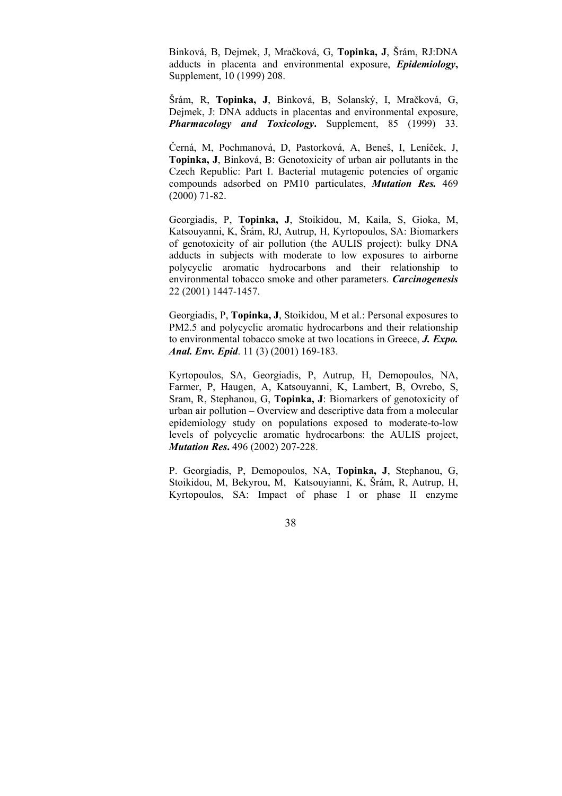Binková, B, Dejmek, J, Mračková, G, **Topinka, J**, Šrám, RJ:DNA adducts in placenta and environmental exposure, *Epidemiology***,** Supplement, 10 (1999) 208.

Šrám, R, **Topinka, J**, Binková, B, Solanský, I, Mračková, G, Dejmek, J: DNA adducts in placentas and environmental exposure, *Pharmacology and Toxicology***.** Supplement, 85 (1999) 33.

Černá, M, Pochmanová, D, Pastorková, A, Beneš, I, Leníček, J, **Topinka, J**, Binková, B: Genotoxicity of urban air pollutants in the Czech Republic: Part I. Bacterial mutagenic potencies of organic compounds adsorbed on PM10 particulates, *Mutation Res.* 469 (2000) 71-82.

Georgiadis, P, **Topinka, J**, Stoikidou, M, Kaila, S, Gioka, M, Katsouyanni, K, Šrám, RJ, Autrup, H, Kyrtopoulos, SA: Biomarkers of genotoxicity of air pollution (the AULIS project): bulky DNA adducts in subjects with moderate to low exposures to airborne polycyclic aromatic hydrocarbons and their relationship to environmental tobacco smoke and other parameters. *Carcinogenesis* 22 (2001) 1447-1457.

Georgiadis, P, **Topinka, J**, Stoikidou, M et al.: Personal exposures to PM2.5 and polycyclic aromatic hydrocarbons and their relationship to environmental tobacco smoke at two locations in Greece, *J. Expo. Anal. Env. Epid*. 11 (3) (2001) 169-183.

Kyrtopoulos, SA, Georgiadis, P, Autrup, H, Demopoulos, NA, Farmer, P, Haugen, A, Katsouyanni, K, Lambert, B, Ovrebo, S, Sram, R, Stephanou, G, **Topinka, J**: Biomarkers of genotoxicity of urban air pollution – Overview and descriptive data from a molecular epidemiology study on populations exposed to moderate-to-low levels of polycyclic aromatic hydrocarbons: the AULIS project, *Mutation Res***.** 496 (2002) 207-228.

P. Georgiadis, P, Demopoulos, NA, **Topinka, J**, Stephanou, G, Stoikidou, M, Bekyrou, M, Katsouyianni, K, Šrám, R, Autrup, H, Kyrtopoulos, SA: Impact of phase I or phase II enzyme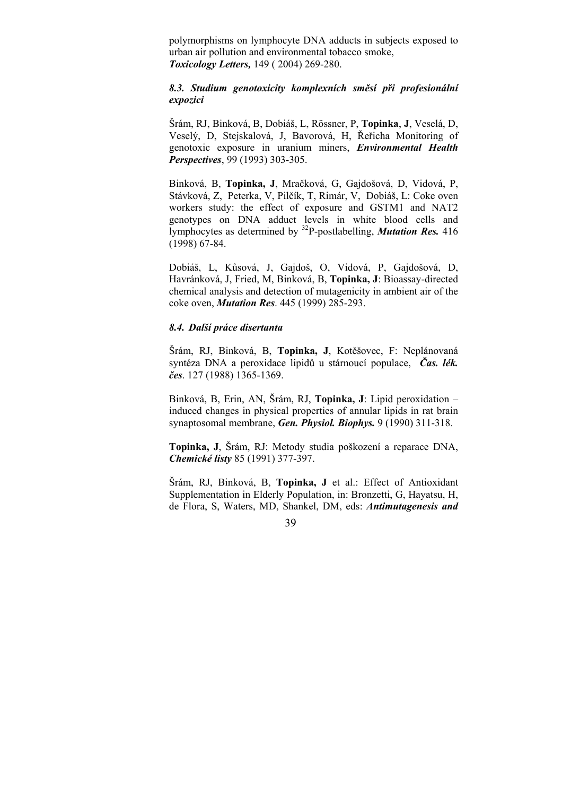polymorphisms on lymphocyte DNA adducts in subjects exposed to urban air pollution and environmental tobacco smoke, *Toxicology Letters,* 149 ( 2004) 269-280.

## *8.3. Studium genotoxicity komplexních směsí při profesionální expozici*

Šrám, RJ, Binková, B, Dobiáš, L, Rössner, P, **Topinka**, **J**, Veselá, D, Veselý, D, Stejskalová, J, Bavorová, H, Řeřicha Monitoring of genotoxic exposure in uranium miners, *Environmental Health Perspectives*, 99 (1993) 303-305.

Binková, B, **Topinka, J**, Mračková, G, Gajdošová, D, Vidová, P, Stávková, Z, Peterka, V, Pilčík, T, Rimár, V, Dobiáš, L: Coke oven workers study: the effect of exposure and GSTM1 and NAT2 genotypes on DNA adduct levels in white blood cells and lymphocytes as determined by 32P-postlabelling, *Mutation Res.* 416 (1998) 67-84.

Dobiáš, L, Kůsová, J, Gajdoš, O, Vidová, P, Gajdošová, D, Havránková, J, Fried, M, Binková, B, **Topinka, J**: Bioassay-directed chemical analysis and detection of mutagenicity in ambient air of the coke oven, *Mutation Res*. 445 (1999) 285-293.

## *8.4. Další práce disertanta*

Šrám, RJ, Binková, B, **Topinka, J**, Kotěšovec, F: Neplánovaná syntéza DNA a peroxidace lipidů u stárnoucí populace, *Čas. lék. čes*. 127 (1988) 1365-1369.

Binková, B, Erin, AN, Šrám, RJ, **Topinka, J**: Lipid peroxidation – induced changes in physical properties of annular lipids in rat brain synaptosomal membrane, *Gen. Physiol. Biophys.* 9 (1990) 311-318.

**Topinka, J**, Šrám, RJ: Metody studia poškození a reparace DNA, *Chemické listy* 85 (1991) 377-397.

Šrám, RJ, Binková, B, **Topinka, J** et al.: Effect of Antioxidant Supplementation in Elderly Population, in: Bronzetti, G, Hayatsu, H, de Flora, S, Waters, MD, Shankel, DM, eds: *Antimutagenesis and*